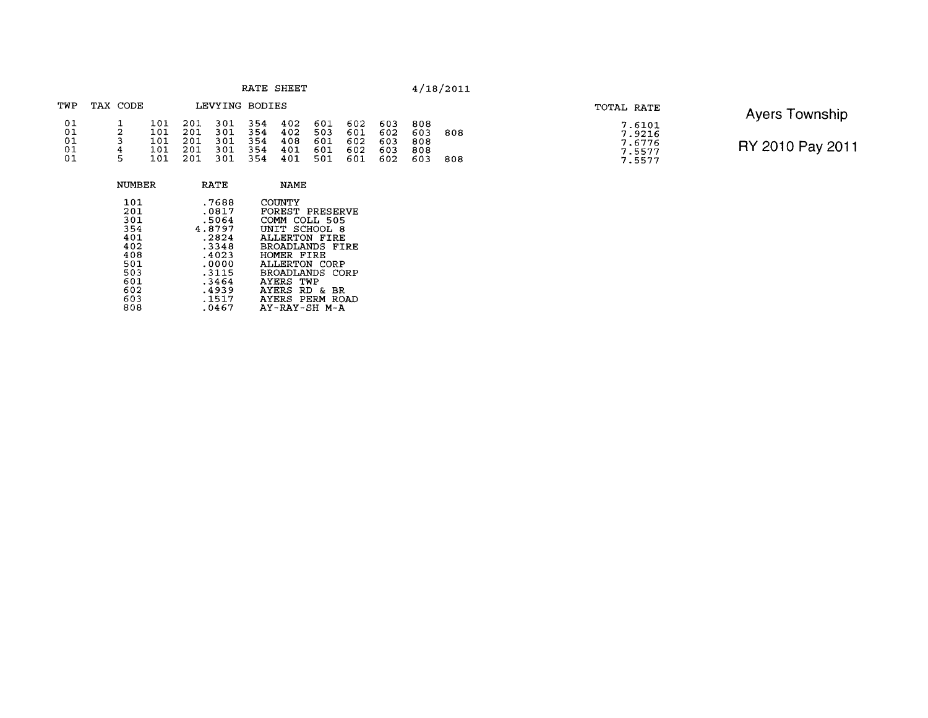|  | RATE |  |  | <b>SHEET</b> |
|--|------|--|--|--------------|
|--|------|--|--|--------------|

| TWP                        | TAX CODE          |                                 |                                 | LEVYING BODIES                  |                                  |                                 |                                 |                                 |                                 |                                 |            |
|----------------------------|-------------------|---------------------------------|---------------------------------|---------------------------------|----------------------------------|---------------------------------|---------------------------------|---------------------------------|---------------------------------|---------------------------------|------------|
| 01<br>01<br>01<br>01<br>01 | 2<br>ર<br>4<br>г. | 101<br>101<br>101<br>101<br>101 | 201<br>201<br>201<br>201<br>201 | 301<br>301<br>301<br>301<br>301 | -354<br>354<br>354<br>354<br>354 | 402<br>402<br>408<br>401<br>401 | 601<br>503<br>601<br>601<br>501 | 602<br>601<br>602<br>602<br>601 | 603<br>602<br>603<br>603<br>602 | 808<br>603<br>808<br>808<br>603 | 808<br>808 |

| TOTAL RATE |                                                |
|------------|------------------------------------------------|
|            | 7.6101<br>7.9216<br>7.6776<br>7.5577<br>7.5577 |

**Ayers Township** 

| NUMBER | <b>RATE</b> | <b>NAME</b>            |
|--------|-------------|------------------------|
| 101    | .7688       | COUNTY                 |
| 201    | .0817       | <b>FOREST PRESERVE</b> |
| 301    | .5064       | COMM COLL 505          |
| 354    | 4.8797      | UNIT SCHOOL 8          |
| 401    | .2824       | ALLERTON FIRE          |
| 402    | .3348       | BROADLANDS FIRE        |
| 408    | .4023       | HOMER FIRE             |
| 501    | .0000       | ALLERTON CORP          |
| 503    | .3115       | BROADLANDS CORP        |
| 601    | .3464       | AYERS TWP              |
| 602    | .4939       | AYERS RD & BR          |
| 603    | .1517       | AYERS PERM ROAD        |
| 808    | .0467       | AY-RAY-SH M-A          |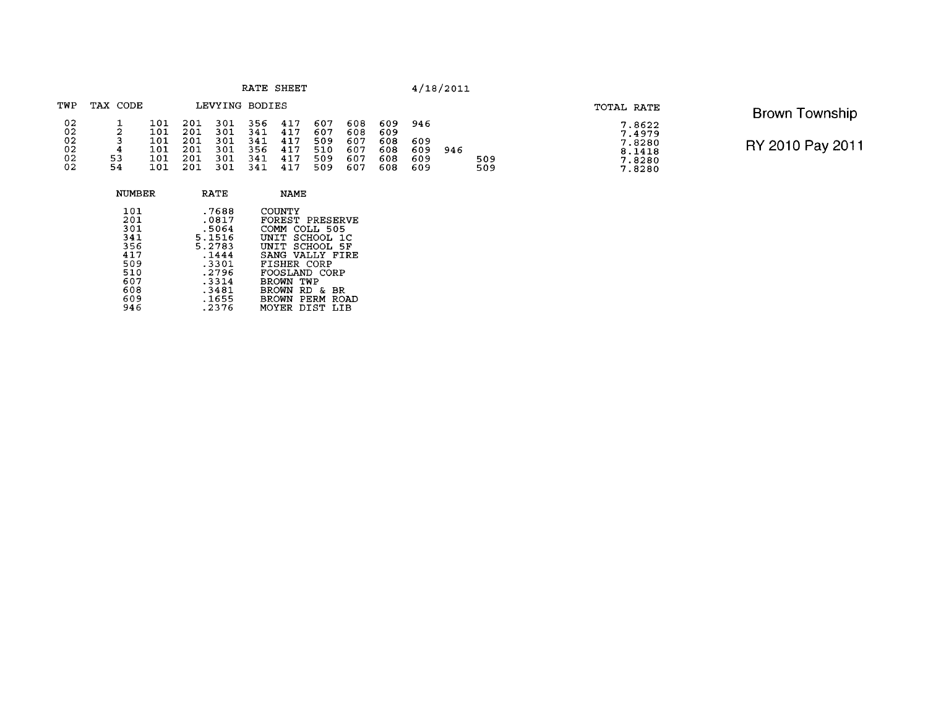| RATE | <b>SHEET</b> |
|------|--------------|
|      |              |

| TWP                  | TAX CODE    |                          |                          | LEVYING BODIES           |                          |                          |                          |                          |                          |                   |     |            |
|----------------------|-------------|--------------------------|--------------------------|--------------------------|--------------------------|--------------------------|--------------------------|--------------------------|--------------------------|-------------------|-----|------------|
| 02<br>02<br>02<br>02 | 2<br>3<br>4 | 101<br>101<br>101<br>101 | 201<br>201<br>201<br>201 | 301<br>301<br>301<br>301 | 356<br>341<br>341<br>356 | 417<br>417<br>417<br>417 | 607<br>607<br>509<br>510 | 608<br>608<br>607<br>607 | 609<br>609<br>608<br>608 | 946<br>609<br>609 | 946 |            |
| 02<br>02             | 53<br>54    | 101<br>101.              | 201<br>201               | 301<br>301               | 341<br>341               | 417<br>417               | 509<br>509               | 607<br>607               | 608<br>608               | 609<br>609        |     | 509<br>509 |

| TOTAL RATE                                               | <b>Brown Township</b> |
|----------------------------------------------------------|-----------------------|
| 7.8622<br>7.4979<br>7.8280<br>8.1418<br>7.8280<br>7.8280 | RY 2010 Pay 2011      |

| <b>NUMBER</b>                                                             | RATE                                                                                              | <b>NAME</b>                                                                                                                                                                                                |
|---------------------------------------------------------------------------|---------------------------------------------------------------------------------------------------|------------------------------------------------------------------------------------------------------------------------------------------------------------------------------------------------------------|
| 101<br>201<br>301<br>341<br>356<br>417<br>509<br>510<br>607<br>608<br>609 | .7688<br>.0817<br>.5064<br>5.1516<br>5.2783<br>.1444<br>.3301<br>.2796<br>.3314<br>.3481<br>.1655 | COUNTY<br>FOREST PRESERVE<br><b>COMM</b><br>COLL 505<br>UNIT SCHOOL 1C<br>UNIT SCHOOL 5F<br>SANG VALLY FIRE<br>FISHER CORP<br>FOOSLAND CORP<br>BROWN<br>TWP<br>BROWN RD<br>- &<br>BR<br>BROWN PERM<br>ROAD |
| 946                                                                       | .2376                                                                                             | MOYER DIST<br>T T B                                                                                                                                                                                        |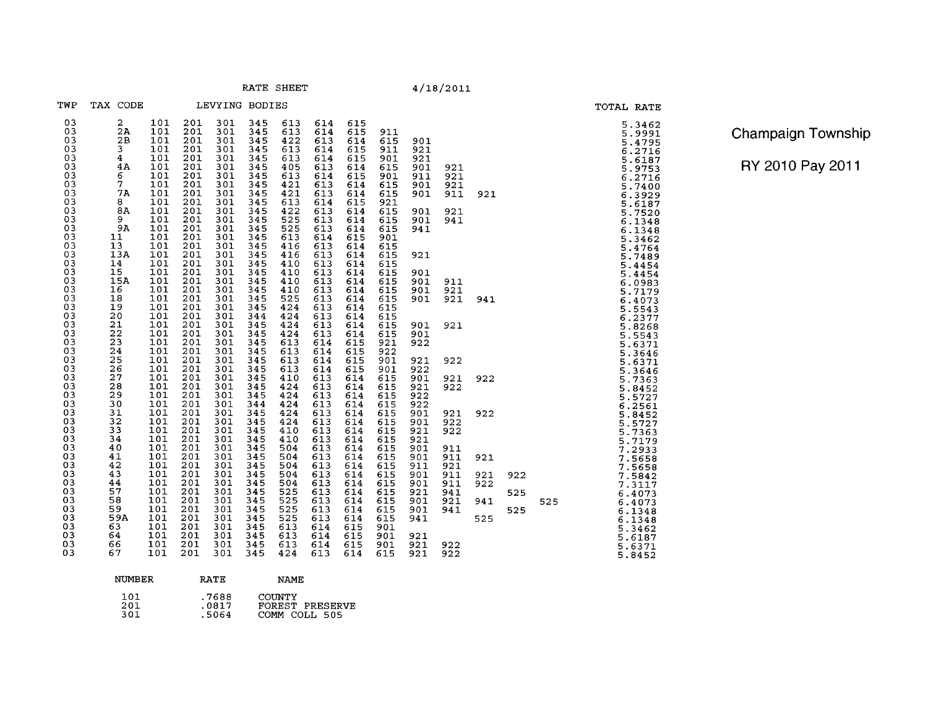RATE SHEET

|                                                                   |                                                                                                    |                                                                                     |                                                                    |                                                                    |                                                                                  |                                                                    |                                                                              |                                                                    |                                                             |                                               | 7/10/2011                       |                   |            |     |
|-------------------------------------------------------------------|----------------------------------------------------------------------------------------------------|-------------------------------------------------------------------------------------|--------------------------------------------------------------------|--------------------------------------------------------------------|----------------------------------------------------------------------------------|--------------------------------------------------------------------|------------------------------------------------------------------------------|--------------------------------------------------------------------|-------------------------------------------------------------|-----------------------------------------------|---------------------------------|-------------------|------------|-----|
| TWP                                                               | TAX CODE                                                                                           |                                                                                     | LEVYING BODIES                                                     |                                                                    |                                                                                  |                                                                    |                                                                              |                                                                    |                                                             |                                               |                                 |                   |            |     |
| 03<br>03<br>03<br>03<br>03<br>03<br>03<br>03<br>03<br>03          | $\overline{a}$<br>2A<br>2B<br>$\frac{3}{4}$<br>4A<br>6<br>$\tilde{7}$<br>7A<br>8                   | 101<br>101<br>101<br>101<br>101<br>101<br>101<br>101<br>101<br>101                  | 201<br>201<br>201<br>201<br>201<br>201<br>201<br>201<br>201<br>201 | 301<br>301<br>301<br>301<br>301<br>301<br>301<br>301<br>301<br>301 | 345<br>345<br>345<br>345<br>345<br>345<br>345<br>345<br>345                      | 613<br>613<br>422<br>613<br>613<br>405<br>613<br>421<br>421<br>613 | 614<br>614<br>613<br>614<br>614<br>613<br>614<br>613<br>613<br>614           | 615<br>615<br>614<br>615<br>615<br>614<br>615<br>614<br>614<br>615 | 911<br>615<br>911<br>901<br>615<br>901<br>615<br>615<br>921 | 901<br>921<br>921<br>901<br>911<br>901<br>901 | 921<br>921<br>921<br>911        | 921               |            |     |
| 03<br>$\frac{03}{03}$<br>$\frac{03}{03}$<br>03<br>$\frac{03}{03}$ | 8A<br>$\frac{9}{9A}$<br>11<br>13 <sup>7</sup><br>13A<br>14                                         | 101<br>101<br>101<br>$\overline{101}$<br>101<br>$\overline{101}$<br>101             | 201<br>201<br>201<br>201<br>201<br>201<br>201                      | 301<br>301<br>301<br>301<br>301<br>301<br>301                      | $345$<br>$345$<br>$345$<br>$345$<br>$345$<br>$\frac{345}{345}$<br>$345$<br>$345$ | $\frac{422}{525}$<br>525<br>613<br>416<br>416<br>410               | $613$<br>$613$<br>613<br>614<br>613<br>$613$<br>$613$                        | 614<br>614<br>614<br>615<br>614<br>614<br>614                      | 615<br>615<br>615<br>901<br>615<br>615<br>615               | 901<br>901<br>941<br>921                      | 921<br>941                      |                   |            |     |
| $\frac{03}{03}$<br>$\frac{03}{03}$<br>0303                        | 15<br>15A<br>16<br>18<br>19<br>$20$<br>21                                                          | $\overline{101}$<br>101<br>101<br>$\frac{1}{101}$<br>101<br>101                     | 201<br>$201\,$<br>201<br>$\frac{201}{201}$<br>201<br>201           | 301<br>301<br>301<br>301<br>301<br>301<br>301                      | 345<br>$\frac{345}{345}$<br>345<br>344<br>345                                    | 410<br>410<br>410<br>525<br>424<br>424<br>424                      | 613<br>613<br>613<br>$\begin{array}{c} 613 \\ 613 \end{array}$<br>613<br>613 | 614<br>614<br>614<br>614<br>614<br>614<br>614                      | 615<br>615<br>$615$<br>$615$<br>615<br>615<br>615           | 901<br>901<br>901<br>901<br>901               | 911<br>921<br>921<br>921        | 941               |            |     |
| 030303<br>$\frac{03}{03}$                                         | $\begin{smallmatrix} 22 \\ 23 \end{smallmatrix}$<br>$\frac{24}{25}$<br>$\overline{26}$<br>27<br>28 | 101<br>$\overline{101}$<br>101<br>$\overline{101}$<br>101<br>101<br>$\frac{1}{101}$ | 201<br>201<br>201<br>201<br>201<br>201<br>201                      | 301<br>301<br>301<br>301<br>301<br>301<br>301                      | 345<br>345<br>345<br>345<br>345<br>345<br>345                                    | 424<br>613<br>613<br>613<br>613<br>410<br>424                      | 613<br>614<br>614<br>614<br>614<br>613<br>$613$<br>$613$                     | 614<br>615<br>615<br>615<br>615<br>614<br>614                      | 615<br>921<br>922<br>901<br>901<br>615<br>615               | 901<br>922<br>921<br>922<br>901<br>921        | 922<br>921<br>922               | 922               |            |     |
| $\frac{03}{03}$<br>03<br>03<br>03<br>03<br>03                     | $\frac{25}{30}$<br>31<br>32<br>33<br>34<br>40                                                      | 101<br>101<br>101<br>$\overline{101}$<br>101<br>$\overline{101}$                    | 201<br>$\frac{201}{201}$<br>201<br>201<br>201<br>201               | 301<br>301<br>301<br>301<br>301<br>301<br>301                      | 345<br>344<br>345<br>345<br>345<br>345<br>345                                    | 424<br>424<br>424<br>424<br>410<br>410<br>504                      | 613<br>613<br>613<br>613<br>613<br>613                                       | 614<br>614<br>614<br>614<br>614<br>614<br>614                      | 615<br>615<br>615<br>615<br>615<br>615                      | 922<br>922<br>901<br>901<br>921<br>921<br>901 | 921<br>922<br>922<br>911        | 922               |            |     |
| 03<br>03<br>03<br>03<br>03                                        | 41<br>42<br>43<br>44<br>57                                                                         | $\overline{101}$<br>101<br>$\overline{101}$<br>101<br>$\overline{101}$              | $\overline{201}$<br>201<br>201<br>201<br>201                       | 301<br>301<br>301<br>301<br>301                                    | 345<br>345<br>$345$<br>$345$<br>$345$<br>$345$                                   | 504<br>504<br>504<br>504<br>525                                    | 613<br>613<br>613<br>613<br>613                                              | 614<br>614<br>614<br>614<br>614                                    | $615$<br>$615$<br>$615$<br>615<br>615<br>615                | 901<br>911<br>901<br>901<br>921               | 911<br>921<br>911<br>911<br>941 | 921<br>921<br>922 | 922<br>525 |     |
| 03<br>03<br>03<br>03<br>03<br>03                                  | 58<br>59<br>59A<br><sup>63</sup><br>64<br>66<br>67                                                 | 101<br>101<br>101<br>101<br>$\frac{101}{101}$                                       | 201<br>201<br>201<br>$\frac{201}{201}$                             | 301<br>301<br>301<br>$\frac{301}{301}$<br>301                      | 345<br>$345$<br>$345$<br>$345$<br>345                                            | 525<br>525<br>525<br>613<br>613<br>613                             | 613<br>613<br>613<br>614<br>614<br>614                                       | 614<br>614<br>614<br>615<br>615<br>615                             | 615<br>615<br>615<br>901<br>901<br>901                      | 901<br>901<br>941<br>921<br>921               | 921<br>941<br>922               | 941<br>525        | 525        | 525 |
| 03                                                                |                                                                                                    | 101                                                                                 | 201                                                                | 301                                                                | 345                                                                              | 424                                                                | 613                                                                          | 614                                                                | 615                                                         | 921                                           | 922                             |                   |            |     |

| Champaign Township |  |
|--------------------|--|
|                    |  |

TOTAL RATE

5.3462<br>5.9991 5.4795

 $6.2716$ <br>  $5.6187$ <br>  $5.9753$ <br>  $6.2716$ <br>  $5.7400$ 

6.3929 5.6187<br>5.7520<br>6.1348  $6.1348$ <br>5.3462

5.4764<br>5.4764<br>5.4454<br>5.4454<br>5.0983<br>5.717

6.4073

5.5543<br>5.8268<br>5.65543<br>5.6371

5.3646  $5.6371$ <br> $5.3646$ <br> $5.7363$ 

 $5.8452$ <br> $5.5727$ <br> $6.2561$ 

5.84527<br>5.773639<br>5.771737385<br>5.71935<br>7.865

7.5658  $7.5842$ <br> $7.3117$ 6.4073

6.4073 6.1348 6.1348  $5.3462$ <br> $5.6187$ <br> $5.6371$ <br> $5.8452$  RY 2010 Pay 201 1

| <b>NUMBER</b> | <b>RATE</b> | <b>NAME</b>     |
|---------------|-------------|-----------------|
| 101           | .7688       | COUNTY          |
| 201           | .0817       | FOREST PRESERVE |
| 301           | .5064       | COMM COLL 505   |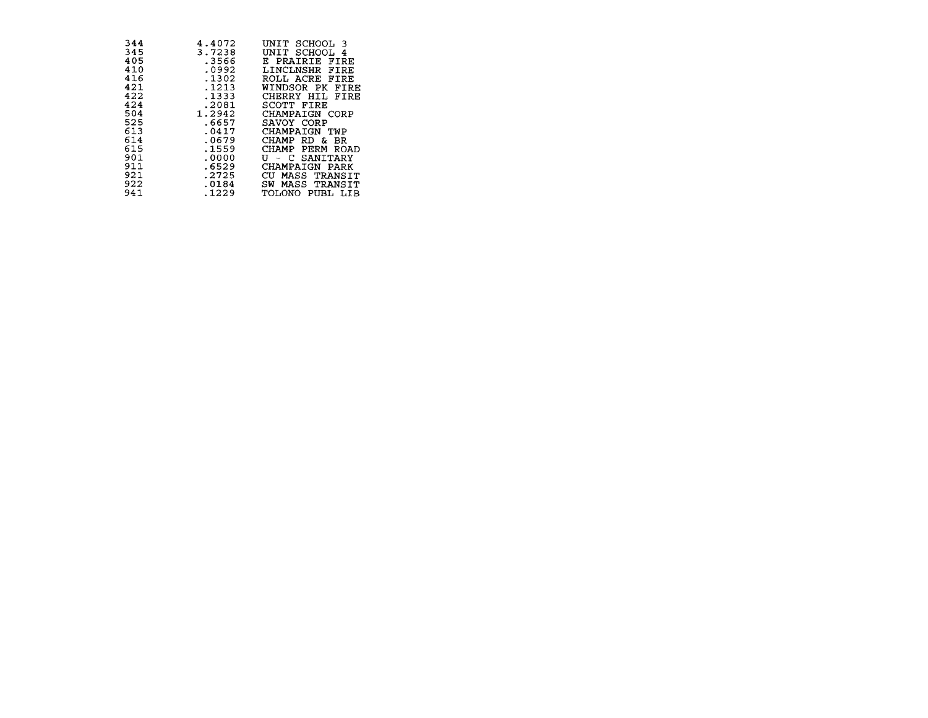| 344 | 4.4072 | UNTT<br>SCHOOL 3 |
|-----|--------|------------------|
| 345 | 3.7238 | SCHOOL 4<br>UNIT |
| 405 | .3566  | E PRAIRIE FIRE   |
| 410 | .0992  | LINCLNSHR FIRE   |
| 416 | .1302  | ROLL ACRE FIRE   |
| 421 | .1213  | WINDSOR PK FIRE  |
| 422 | . 1333 | CHERRY HIL FIRE  |
| 424 | .2081  | SCOTT FIRE       |
| 504 | 1.2942 | CHAMPAIGN CORP   |
| 525 | .6657  | SAVOY CORP       |
| 613 | .0417  | CHAMPAIGN TWP    |
| 614 | .0679  | CHAMP RD & BR    |
| 615 | .1559  | CHAMP PERM ROAD  |
| 901 | .0000  | U - C SANITARY   |
| 911 | .6529  | CHAMPAIGN PARK   |
| 921 | .2725  | CU MASS TRANSIT  |
| 922 | .0184  | SW MASS TRANSIT  |
| 941 | .1229  | TOLONO PUBL LIB  |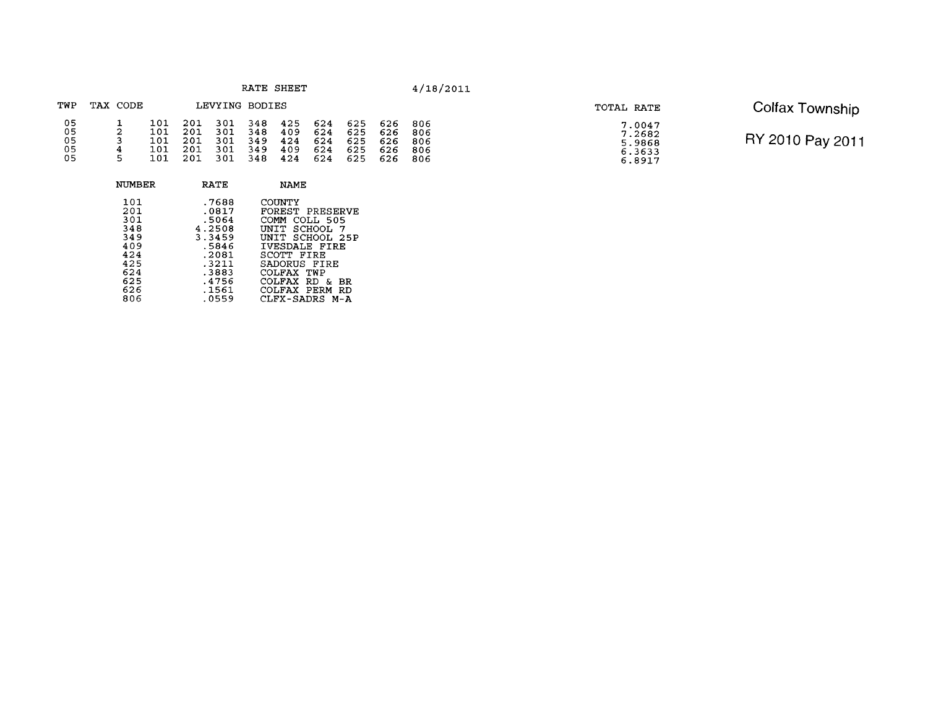|  | RATE<br>SHEET |  |
|--|---------------|--|
|--|---------------|--|

### TWP TAX CODE LEVYING BODIES  $\begin{array}{cccc} 101 & 201 & 301 \\ 101 & 201 & 301 \\ 101 & 201 & 301 \\ 101 & 201 & 301 \\ 101 & 201 & 301 \\ 101 & 201 & 301 \end{array}$  $\begin{array}{@{}ll@{}}\n 425 & 624 \\
 409 & 624 \\
 424 & 624 \\
 409 & 624 \\
 424 & 624\n \end{array}$ 05<br>05<br>05<br>05<br>05  $348$ <br> $348$ <br> $349$ <br> $349$ <br> $348$ 625<br>625<br>625<br>625<br>625 626<br>626<br>626<br>626<br>626  $\begin{array}{c} 806 \\ 806 \\ 806 \\ 806 \\ 806 \\ 806 \end{array}$  $\frac{1}{2}$  $\frac{2}{4}$  $\frac{4}{5}$

| <b>NUMBER</b>                                                                    | RATE                                                                                                        | NAME                                                                                                                                                                                                                                       |
|----------------------------------------------------------------------------------|-------------------------------------------------------------------------------------------------------------|--------------------------------------------------------------------------------------------------------------------------------------------------------------------------------------------------------------------------------------------|
| 101<br>201<br>301<br>348<br>349<br>409<br>424<br>425<br>624<br>625<br>626<br>806 | .7688<br>.0817<br>.5064<br>4.2508<br>3.3459<br>. 5846<br>.2081<br>.3211<br>.3883<br>.4756<br>.1561<br>.0559 | COUNTY<br>FOREST PRESERVE<br><b>COMM</b><br>COLL 505<br>TNT T<br>SCHOOL<br>-7<br>UNIT SCHOOL 25P<br><b>IVESDALE FIRE</b><br>SCOTT FIRE<br>SADORUS FIRE<br>COLFAX TWP<br>COLFAX<br>-RD<br>δr.<br>BR.<br>COLFAX PERM<br>RD<br>CLFX-SADRS M-A |
|                                                                                  |                                                                                                             |                                                                                                                                                                                                                                            |

| TOTAL RATE |                                                |
|------------|------------------------------------------------|
|            | 7.0047<br>7.2682<br>5.9868<br>6.3633<br>6.8917 |

# TOTAL RATE Colfax Township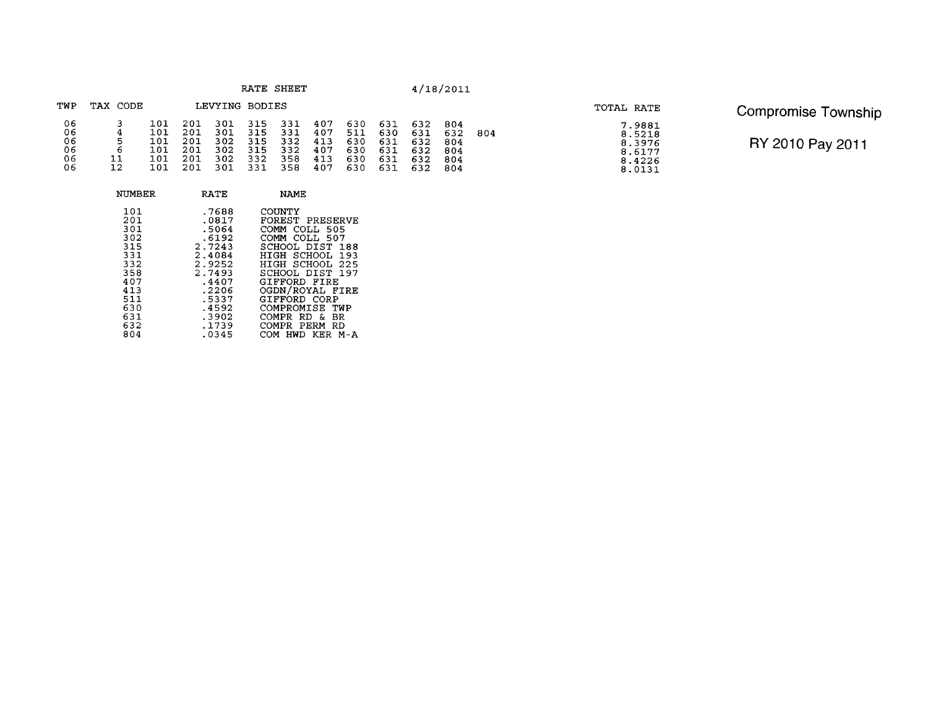| RATE | SHEET |  |
|------|-------|--|
|------|-------|--|

| TOTAL RATE                                               | Compromise Township |
|----------------------------------------------------------|---------------------|
| 7.9881<br>8.5218<br>8.3976<br>8.6177<br>8.4226<br>8.0131 | RY 2010 Pay 2011    |

| RY 2010 Pay 2011 |  |  |  |  |
|------------------|--|--|--|--|
|------------------|--|--|--|--|

| TWP      | TAX CODE |            |            | LEVYING BODIES |             |            |            |            |            |            |            |     |
|----------|----------|------------|------------|----------------|-------------|------------|------------|------------|------------|------------|------------|-----|
| 06<br>06 |          | 101        | 201        | 301            | 315         | -331       | 407        | 630        | 631        | 632        | 804        |     |
| 06       | 4<br>5   | 101<br>101 | 201<br>201 | 301<br>302     | 315<br>315  | 331<br>332 | 407<br>413 | 511<br>630 | 630<br>631 | 631<br>632 | 632<br>804 | 804 |
| 06       | 6        | 101        | 201        | 302            | 315         | 332        | 407        | 630        | 631        | 632        | 804        |     |
| 06<br>06 | 11<br>12 | 101<br>101 | 201        | 302            | 332.<br>331 | 358<br>358 | 413<br>407 | 630<br>630 | 631<br>631 | 632<br>632 | 804<br>804 |     |

| <b>NUMBER</b>                                                                                  | RATE                                                                                                                           | <b>NAME</b>                                                                                                                                                                                                                                                                    |
|------------------------------------------------------------------------------------------------|--------------------------------------------------------------------------------------------------------------------------------|--------------------------------------------------------------------------------------------------------------------------------------------------------------------------------------------------------------------------------------------------------------------------------|
| 101<br>201<br>301<br>302<br>315<br>331<br>332<br>358<br>407<br>413<br>511<br>630<br>631<br>632 | .7688<br>.0817<br>.5064<br>.6192<br>2.7243<br>2.4084<br>2.9252<br>2.7493<br>.4407<br>.2206<br>.5337<br>.4592<br>.3902<br>.1739 | COUNTY<br>FOREST PRESERVE<br>COLL 505<br>COMM<br>COMM COLL 507<br>SCHOOL DIST<br>188<br>HIGH SCHOOL 193<br>HIGH SCHOOL 225<br>SCHOOL DIST 197<br>GIFFORD FIRE<br>OGDN/ROYAL FIRE<br>GIFFORD CORP<br>COMPROMISE<br>TWP<br><b>COMPR</b><br>RD<br>&.<br>BR<br>RD<br>COMPR<br>PERM |
| 804                                                                                            | .0345                                                                                                                          | HWD KER M-A<br>COM.                                                                                                                                                                                                                                                            |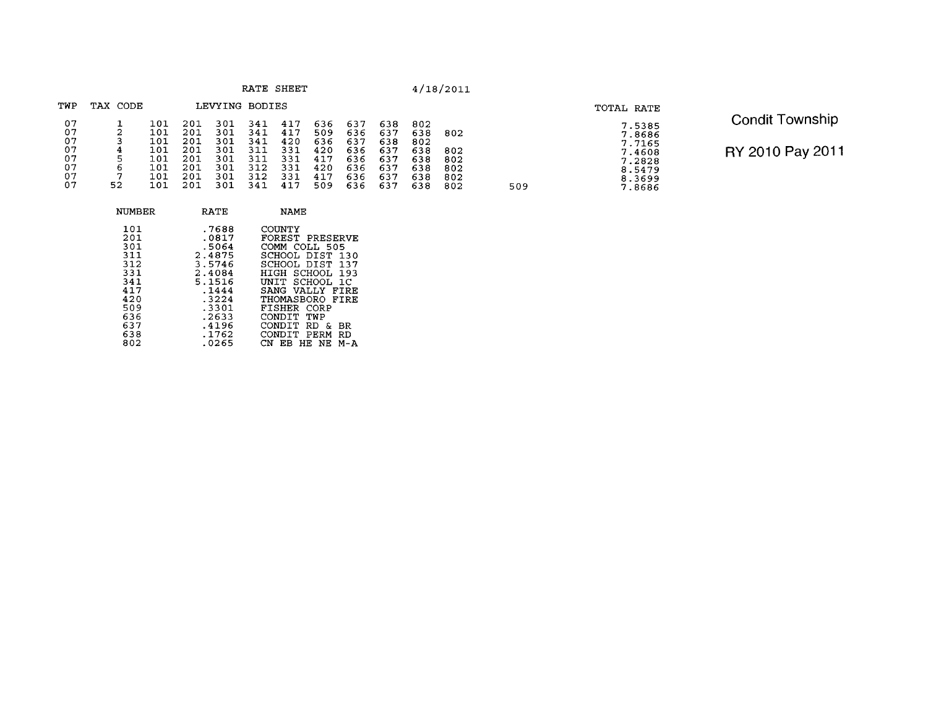|                                              |                                  |                                                      |                                                      |                                                      |                                                      | RATE SHEET                                           |                                                      |                                                      |                                                      |                                                      | 4/18/2011                              |
|----------------------------------------------|----------------------------------|------------------------------------------------------|------------------------------------------------------|------------------------------------------------------|------------------------------------------------------|------------------------------------------------------|------------------------------------------------------|------------------------------------------------------|------------------------------------------------------|------------------------------------------------------|----------------------------------------|
| TWP                                          | TAX CODE                         |                                                      |                                                      | LEVYING BODIES                                       |                                                      |                                                      |                                                      |                                                      |                                                      |                                                      |                                        |
| 07<br>07<br>07<br>07<br>07<br>07<br>07<br>07 | 2<br>3<br>4<br>5<br>6<br>7<br>52 | 101<br>101<br>101<br>101<br>101<br>101<br>101<br>101 | 201<br>201<br>201<br>201<br>201<br>201<br>201<br>201 | 301<br>301<br>301<br>301<br>301<br>301<br>301<br>301 | 341<br>341<br>341<br>311<br>311<br>312<br>312<br>341 | 417<br>417<br>420<br>331<br>331<br>331<br>331<br>417 | 636<br>509<br>636<br>420<br>417<br>420<br>417<br>509 | 637<br>636<br>637<br>636<br>636<br>636<br>636<br>636 | 638<br>637<br>638<br>637<br>637<br>637<br>637<br>637 | 802<br>638<br>802<br>638<br>638<br>638<br>638<br>638 | 802<br>802<br>802<br>802<br>802<br>802 |

| NUMBER                                                                                  | RATE                                                                                                                  | <b>NAME</b>                                                                                                                                                                                                                                      |
|-----------------------------------------------------------------------------------------|-----------------------------------------------------------------------------------------------------------------------|--------------------------------------------------------------------------------------------------------------------------------------------------------------------------------------------------------------------------------------------------|
| 101<br>201<br>301<br>311<br>312<br>331<br>341<br>417<br>420<br>509<br>636<br>637<br>638 | .7688<br>.0817<br>.5064<br>2.4875<br>3.5746<br>2.4084<br>5.1516<br>.1444<br>.3224<br>.3301<br>.2633<br>.4196<br>.1762 | COUNTY<br>FOREST PRESERVE<br>COMM COLL 505<br>SCHOOL DIST 130<br>SCHOOL DIST 137<br>HIGH SCHOOL 193<br>INIT SCHOOL 1C<br>SANG VALLY FIRE<br>THOMASBORO FIRE<br>FISHER CORP<br>CONDIT<br>TWP<br>CONDIT<br>RD<br>ĥ.<br>BR<br>CONDIT.<br>PERM<br>RD |
| 802                                                                                     | .0265                                                                                                                 | FR<br>HE.<br>NE.<br>М-А                                                                                                                                                                                                                          |

509

# **TOTAL RATE**  7.5385<br>7.8686<br>7.7165<br>7.4608<br>7.2828<br>8.3699<br>8.3699<br>7.8686

Condit Township RY 2010 Pay 2011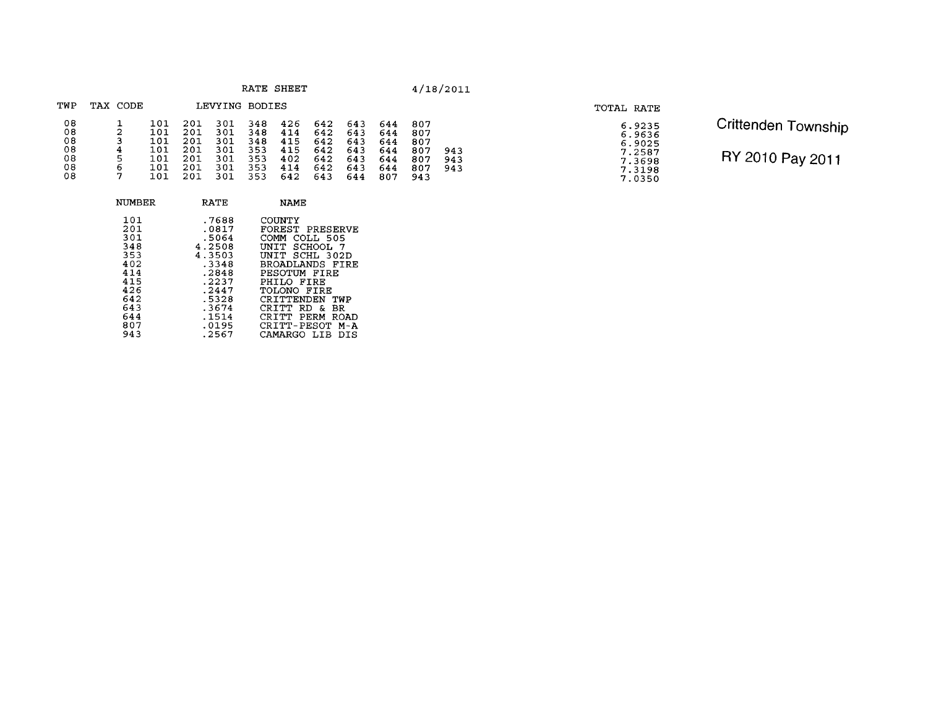|  |  | RATE |  |  | SHEET |
|--|--|------|--|--|-------|
|--|--|------|--|--|-------|

| TWP            | TAX | CODE   |                   |                   | LEVYING           | BODIES            |                   |                   |                   |                   |                   |            |
|----------------|-----|--------|-------------------|-------------------|-------------------|-------------------|-------------------|-------------------|-------------------|-------------------|-------------------|------------|
| 08<br>08<br>08 |     | 2<br>3 | 101<br>101<br>101 | 201<br>201<br>201 | 301<br>301<br>301 | 348<br>348<br>348 | 426<br>414<br>415 | 642<br>642<br>642 | 643<br>643<br>643 | 644<br>644<br>644 | 807<br>807<br>807 |            |
| 08<br>08       |     | 4<br>5 | 101<br>101        | 201<br>201        | 301<br>301        | 353<br>353        | 415<br>402        | 642<br>642        | 643<br>643        | 644<br>644        | 807<br>807        | 943<br>943 |
| 08<br>08       |     | 6<br>7 | 101<br>101        | 201<br>201        | 301<br>301        | 353<br>353        | 414<br>642        | 642<br>643        | 643<br>644        | 644<br>807        | 807<br>943        | 943        |

| NUMBER                                                                                  | RATE                                                                                                                | NAME                                                                                                                                                                                                                                                           |
|-----------------------------------------------------------------------------------------|---------------------------------------------------------------------------------------------------------------------|----------------------------------------------------------------------------------------------------------------------------------------------------------------------------------------------------------------------------------------------------------------|
| 101<br>201<br>301<br>348<br>353<br>402<br>414<br>415<br>426<br>642<br>643<br>644<br>807 | .7688<br>.0817<br>.5064<br>4.2508<br>4.3503<br>.3348<br>.2848<br>.2237<br>.2447<br>.5328<br>.3674<br>.1514<br>.0195 | COUNTY<br>FOREST PRESERVE<br>COMM<br>COLL 505<br>UNIT SCHOOL<br>- 7<br>SCHL 302D<br>UNTT.<br>BROADLANDS FIRE<br>PESOTUM FIRE<br>PHILO FIRE<br>TOLONO FIRE<br>CRITTENDEN<br>TWP<br>CRTTT<br>RD.<br>r.<br>BR<br>CR T T T<br>PERM<br>ROAD<br>CRITT-PESOT<br>M – A |
| 943                                                                                     | .2567                                                                                                               | CAMARGO LIB<br>DTS                                                                                                                                                                                                                                             |

## **TOTAL RATE**

Crittenden Township RY 2010 Pay 2011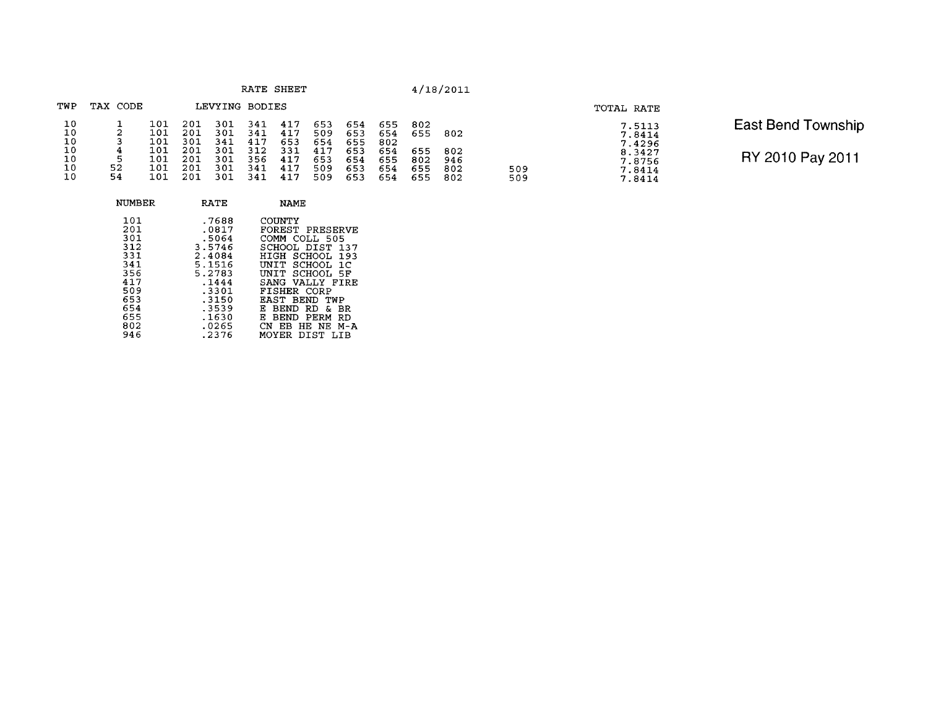|  |  | RATE |  | SHEET |  |  |
|--|--|------|--|-------|--|--|
|--|--|------|--|-------|--|--|

509<br>509

| TWP                  | TAX<br>CODE        |                          |                          | LEVYING                  | <b>BODIES</b>            |                          |                          |                          |                          |                          |                          |
|----------------------|--------------------|--------------------------|--------------------------|--------------------------|--------------------------|--------------------------|--------------------------|--------------------------|--------------------------|--------------------------|--------------------------|
| 10<br>10<br>10       | 2<br>3             | 101<br>101<br>101        | 201<br>201<br>301        | 301<br>301<br>341        | 341<br>341<br>417        | 417<br>417<br>653        | 653<br>509<br>654        | 654<br>653<br>655        | 655<br>654<br>802        | 802<br>655               | 802                      |
| 10<br>10<br>10<br>10 | 4<br>5<br>52<br>54 | 101<br>101<br>101<br>101 | 201<br>201<br>201<br>201 | 301<br>301<br>301<br>301 | 312<br>356<br>341<br>341 | 331<br>417<br>417<br>417 | 417<br>653<br>509<br>509 | 653<br>654<br>653<br>653 | 654<br>655<br>654<br>654 | 655<br>802<br>655<br>655 | 802<br>946<br>802<br>802 |

| NUMBER                                                                           | <b>RATE</b>                                                                                                    | NAME                                                                                                                                                                                                                                                                                 |
|----------------------------------------------------------------------------------|----------------------------------------------------------------------------------------------------------------|--------------------------------------------------------------------------------------------------------------------------------------------------------------------------------------------------------------------------------------------------------------------------------------|
| 101<br>201<br>301<br>312<br>331<br>341<br>356<br>417<br>509<br>653<br>654<br>655 | .7688<br>.0817<br>.5064<br>3.5746<br>2.4084<br>5.1516<br>5.2783<br>.1444<br>$-3301$<br>.3150<br>.3539<br>.1630 | COUNTY<br>FOREST PRESERVE<br>COMM COLL 505<br>SCHOOL DIST<br>137<br>HIGH<br>SCHOOL<br>193<br>SCHOOL 1C<br><b>INTT</b><br>SCHOOL 5F<br>INTT<br>SANG VALLY FIRE<br>FISHER CORP<br>EAST<br>TWP<br><b>BEND</b><br>E<br><b>BEND</b><br>RD<br>BR.<br>я.<br>F.<br>PERM<br><b>BEND</b><br>RD |
| 802<br>946                                                                       | .0265<br>.2376                                                                                                 | CN<br>HE NE<br>ЕB<br>M – A<br>DIST<br>MOYER<br>TР                                                                                                                                                                                                                                    |
|                                                                                  |                                                                                                                |                                                                                                                                                                                                                                                                                      |

| TOTAL RATE |                                                                    |
|------------|--------------------------------------------------------------------|
|            | 7.5113<br>7.8414<br>7.4296<br>8.3427<br>7.8756<br>7.8414<br>7.8414 |

East Bend Township RY 2010 Pay 2011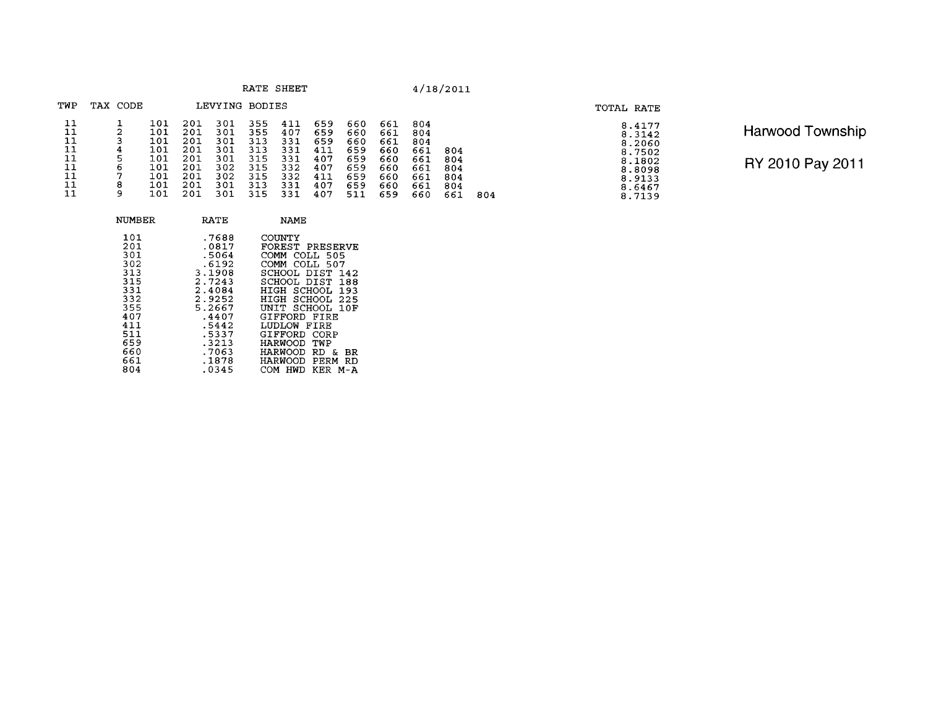| RATE | SHEET |
|------|-------|
|      |       |

| TWP                                          | TAX CODE                        |                                                             |                                                             | LEVYING BODIES                                              |                                                             |                                                             |                                                             |                                                             |                                                             |                                                             |                                 |     |  |
|----------------------------------------------|---------------------------------|-------------------------------------------------------------|-------------------------------------------------------------|-------------------------------------------------------------|-------------------------------------------------------------|-------------------------------------------------------------|-------------------------------------------------------------|-------------------------------------------------------------|-------------------------------------------------------------|-------------------------------------------------------------|---------------------------------|-----|--|
| 11<br>11<br>11<br>11<br>11<br>11<br>11<br>11 | 2<br>4<br>5<br>6<br>7<br>8<br>9 | 101<br>101<br>101<br>101<br>101<br>101<br>101<br>101<br>101 | 201<br>201<br>201<br>201<br>201<br>201<br>201<br>201<br>201 | 301<br>301<br>301<br>301<br>301<br>302<br>302<br>301<br>301 | 355<br>355<br>313<br>313<br>315<br>315<br>315<br>313<br>315 | 411<br>407<br>331<br>331<br>331<br>332<br>332<br>331<br>331 | 659<br>659<br>659<br>411<br>407<br>407<br>411<br>407<br>407 | 660<br>660<br>660<br>659<br>659<br>659<br>659<br>659<br>511 | 661<br>661<br>661<br>660<br>660<br>660<br>660<br>660<br>659 | 804<br>804<br>804<br>661<br>661<br>661<br>661<br>661<br>660 | 804<br>804<br>804<br>804<br>804 |     |  |
|                                              |                                 |                                                             |                                                             |                                                             |                                                             |                                                             |                                                             |                                                             |                                                             |                                                             | 661                             | 804 |  |

| NUMBER                                                                           | RATE                                                                                                          | NAME                                                                                                                                                                                                      |
|----------------------------------------------------------------------------------|---------------------------------------------------------------------------------------------------------------|-----------------------------------------------------------------------------------------------------------------------------------------------------------------------------------------------------------|
| 101<br>201<br>301<br>302<br>313<br>315<br>331<br>332<br>355<br>407<br>411<br>511 | .7688<br>.0817<br>.5064<br>.6192<br>3,1908<br>2.7243<br>2.4084<br>2.9252<br>5.2667<br>.4407<br>.5442<br>.5337 | COUNTY<br>FOREST PRESERVE<br>COMM COLL 505<br>COMM COLL 507<br>SCHOOL DIST 142<br>SCHOOL DIST 188<br>HIGH SCHOOL 193<br>HIGH SCHOOL 225<br>UNIT SCHOOL 10F<br>GIFFORD FIRE<br>LUDLOW FIRE<br>GIFFORD CORP |
| 659                                                                              | .3213                                                                                                         | <b>HARWOOD</b><br>TWP                                                                                                                                                                                     |
| 660<br>661                                                                       | .7063<br>.1878                                                                                                | HARWOOD<br>RD.<br>вR<br>&.<br>HARWOOD<br>PERM<br>RD                                                                                                                                                       |
| 804                                                                              | .0345                                                                                                         | KER<br>COM<br>HWD<br>M-A                                                                                                                                                                                  |

 $8.4177$ <br>  $8.3142$ <br>  $8.2060$ <br>  $8.7502$ <br>  $8.1802$ <br>  $8.8098$ <br>  $8.9133$ <br>  $8.6467$ <br>  $8.7139$ 

| <b>Harwood Township</b> |
|-------------------------|
| RY 2010 Pay 2011        |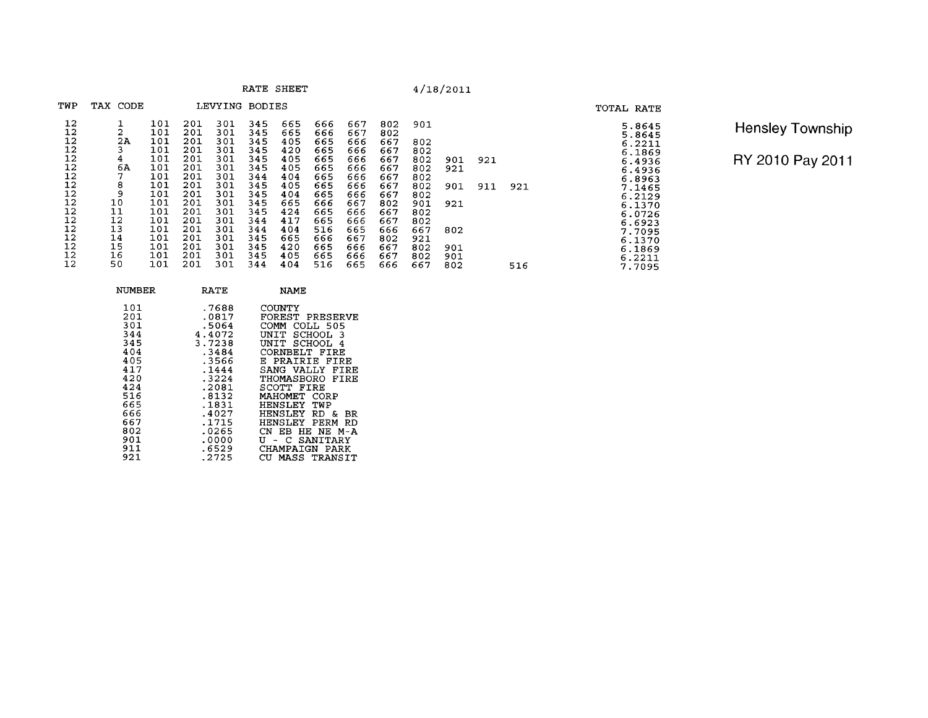|          |          |            |            |                |            | RATE SHEET |            |            |            |     | 4/18/2011 |     |     |
|----------|----------|------------|------------|----------------|------------|------------|------------|------------|------------|-----|-----------|-----|-----|
| TWP      | TAX CODE |            |            | LEVYING BODIES |            |            |            |            |            |     |           |     |     |
| 12<br>12 | 2        | 101<br>101 | 201<br>201 | 301            | 345<br>345 | 665<br>665 | 666        | 667        | 802        | 901 |           |     |     |
| 12       | 2A       | 101        | 201        | 301<br>301     | 345        | 405        | 666<br>665 | 667<br>666 | 802<br>667 | 802 |           |     |     |
| 12       | 3        | 101        | 201        | 301            | 345        | 420        | 665        | 666        | 667        | 802 |           |     |     |
| 12       | 4        | 101        | 201        | 301            | 345        | 405        | 665        | 666        | 667        | 802 | 901       | 921 |     |
| 12       | 6А       | 101        | 201        | 301            | 345        | 405        | 665        | 666        | 667        | 802 | 921       |     |     |
| 12       |          | 101        | 201        | 301            | 344        | 404        | 665        | 666        | 667        | 802 |           |     |     |
| 12       | 8        | 101        | 201        | 301            | 345        | 405        | 665        | 666        | 667        | 802 | 901       | 911 | 921 |
| 12       | 9        | 101        | 201        | 301            | 345        | 404        | 665        | 666        | 667        | 802 |           |     |     |
| 12       | 10       | 101        | 201        | 301            | 345        | 665        | 666        | 667        | 802        | 901 | 921       |     |     |
| 12       | 11       | 101        | 201        | 301            | 345        | 424        | 665        | 666        | 667        | 802 |           |     |     |
| 12       | 12       | 101        | 201        | 301            | 344        | 417        | 665        | 666        | 667        | 802 |           |     |     |
| 12       | 13       | 101        | 201        | 301            | 344        | 404        | 516        | 665        | 666        | 667 | 802       |     |     |
| 12       | 14       | 101        | 201        | 301            | 345        | 665        | 666        | 667        | 802        | 921 |           |     |     |
| 12       | 15       | 101        | 201        | 301            | 345        | 420        | 665        | 666        | 667        | 802 | 901       |     |     |
| 12       | 16       | 101        | 201        | 301            | 345        | 405        | 665        | 666        | 667        | 802 | 901       |     |     |
| 12       | 50       | 101        | 201        | 301            | 344        | 404        | 516        | 665        | 666        | 667 | 802       |     | 516 |

Hensley Township RY 2010 Pay 2011

TOTAL RATE

 $5.8645$ <br>  $5.8645$ <br>  $6.1869$ <br>  $6.1869$ <br>  $6.4936$ <br>  $6.4936$ <br>  $6.4936$ <br>  $6.4936$ <br>  $6.4936$ <br>  $6.41465$ <br>  $6.21270$ <br>  $6.13709$ <br>  $6.13709$ <br>  $6.13709$ <br>  $6.2211$ <br>  $7.7095$ 

| NUMBER                                                                                                              | RATE                                                                                                                                                    | NAME                                                                                                                                                                                                                                                                                                                                        |
|---------------------------------------------------------------------------------------------------------------------|---------------------------------------------------------------------------------------------------------------------------------------------------------|---------------------------------------------------------------------------------------------------------------------------------------------------------------------------------------------------------------------------------------------------------------------------------------------------------------------------------------------|
| 101<br>201<br>301<br>344<br>345<br>404<br>405<br>417<br>420<br>424<br>516<br>665<br>666<br>667<br>802<br>901<br>911 | .7688<br>.0817<br>.5064<br>4.4072<br>3.7238<br>.3484<br>.3566<br>.1444<br>.3224<br>.2081<br>.8132<br>.1831<br>.4027<br>.1715<br>.0265<br>.0000<br>.6529 | COUNTY<br>FOREST PRESERVE<br>COMM<br>COLL 505<br>SCHOOL<br>UNIT<br>-3<br>SCHOOL<br>UNIT<br>-4<br>CORNBELT FIRE<br>E PRAIRIE FIRE<br>SANG VALLY<br>FIRE<br>THOMASBORO FIRE<br>SCOTT FIRE<br>MAHOMET<br>CORP<br><b>HENSLEY</b><br>TWP<br>HENSLEY RD &<br>BR<br>HENSLEY PERM<br>-RD<br>CN.<br>EB HE NE M-A<br>U - C SANITARY<br>CHAMPAIGN PARK |
| 921                                                                                                                 | .2725                                                                                                                                                   | MASS TRANSIT<br>CU.                                                                                                                                                                                                                                                                                                                         |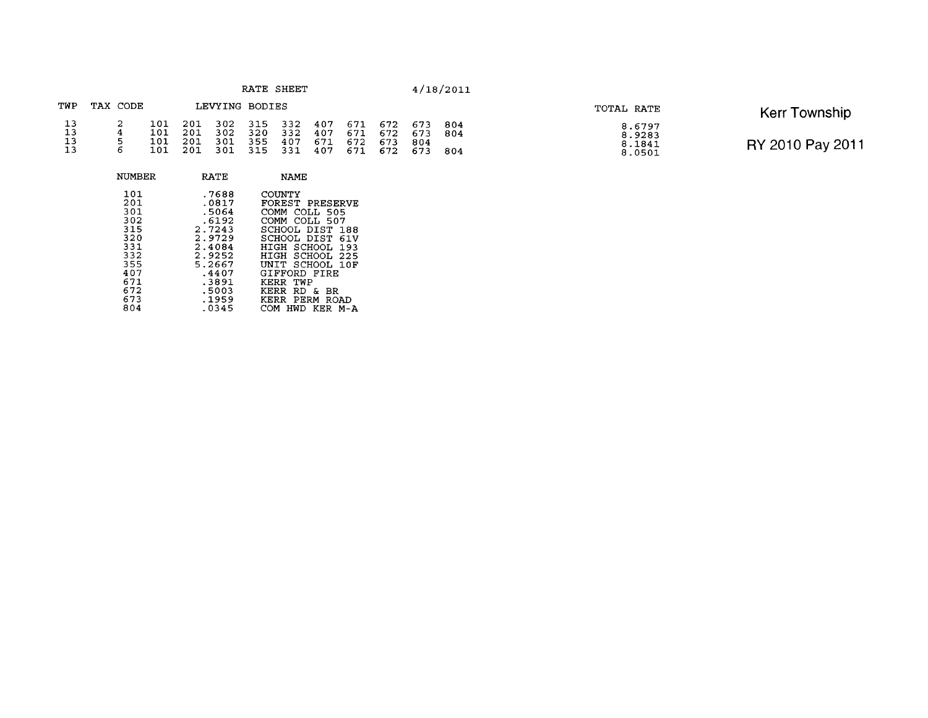|                      |          |                          |                            |                | RATE SHEET                               |                           |     |     |                                                      |                | 4/18/2011 |                                      |                  |
|----------------------|----------|--------------------------|----------------------------|----------------|------------------------------------------|---------------------------|-----|-----|------------------------------------------------------|----------------|-----------|--------------------------------------|------------------|
| TWP                  | TAX CODE |                          |                            | LEVYING BODIES |                                          |                           |     |     |                                                      |                |           | TOTAL RATE                           | Kerr Township    |
| 13<br>13<br>13<br>13 |          | 101<br>101<br>101<br>101 | 201<br>201<br>201<br>- 201 | 302<br>301     | 302 315<br>320<br>355<br>301 315 331 407 | 332 407<br>332 407<br>407 | 671 | 672 | 671 672 673 804<br>671 672<br>673<br>671 672 673 804 | 673 804<br>804 |           | 8.6797<br>8.9283<br>8.1841<br>8.0501 | RY 2010 Pay 2011 |

NUMBER RATE NAME

 $.7688$ <br> $.0817$ <br> $.5064$ 

 $15064$ <br>  $2.7243$ <br>  $2.9729$ <br>  $2.4084$ <br>  $2.9252$ <br>  $2.4407$ <br>  $3891$ <br>  $5003$ <br>  $1959$ <br>  $0345$ 

 $\frac{101}{201}$ <br> $\frac{301}{301}$ 

 $3025$ <br>  $333325$ <br>  $3335$ <br>  $335$ <br>  $4677$ 

672 673 804 COUNTY<br>
FOREST PRESERVE<br>
COMM COLL 507<br>
SCHOOL DIST 188<br>
SCHOOL DIST 61V<br>
HIGH SCHOOL 193<br>
HIGH SCHOOL 193<br>
HIGH SCHOOL 10F<br>
CIFFORD FIRE<br>
KERR TWP<br>
KERR PERM ROAD<br>
KERR PERM ROAD<br>
COM HWD KER M-A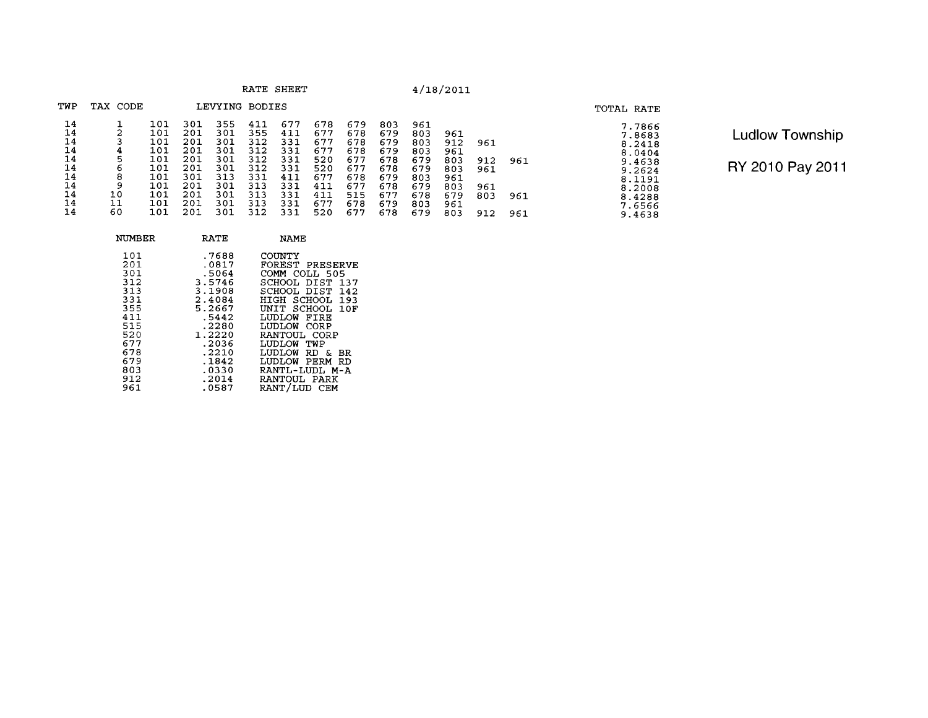|                                                                |                               |                                                                           |                                                                           |                                                                           |                                                                           | RATE SHEET                                                                |                                                                           |                                                                           |                                                                           |                                                                           | 4/18/2011                                                          |                                        |                   |                                                                                                            |
|----------------------------------------------------------------|-------------------------------|---------------------------------------------------------------------------|---------------------------------------------------------------------------|---------------------------------------------------------------------------|---------------------------------------------------------------------------|---------------------------------------------------------------------------|---------------------------------------------------------------------------|---------------------------------------------------------------------------|---------------------------------------------------------------------------|---------------------------------------------------------------------------|--------------------------------------------------------------------|----------------------------------------|-------------------|------------------------------------------------------------------------------------------------------------|
| TWP                                                            | TAX CODE                      |                                                                           |                                                                           | LEVYING BODIES                                                            |                                                                           |                                                                           |                                                                           |                                                                           |                                                                           |                                                                           |                                                                    |                                        |                   | TOTAL RATE                                                                                                 |
| 14<br>14<br>14<br>14<br>14<br>14<br>14<br>14<br>14<br>14<br>14 | 4<br>5<br>8<br>10<br>11<br>60 | 101<br>101<br>101<br>101<br>101<br>101<br>101<br>101<br>101<br>101<br>101 | 301<br>201<br>201<br>201<br>201<br>201<br>301<br>201<br>201<br>201<br>201 | 355<br>301<br>301<br>301<br>301<br>301<br>313<br>301<br>301<br>301<br>301 | 411<br>355<br>312<br>312<br>312<br>312<br>331<br>313<br>313<br>313<br>312 | 677<br>411<br>331<br>331<br>331<br>331<br>411<br>331<br>331<br>331<br>331 | 678<br>677<br>677<br>677<br>520<br>520<br>677<br>411<br>411<br>677<br>520 | 679<br>678<br>678<br>678<br>677<br>677<br>678<br>677<br>515<br>678<br>677 | 803<br>679<br>679<br>679<br>678<br>678<br>679<br>678<br>677<br>679<br>678 | 961<br>803<br>803<br>803<br>679<br>679<br>803<br>679<br>678<br>803<br>679 | 961<br>912<br>961<br>803<br>803<br>961<br>803<br>679<br>961<br>803 | 961<br>912<br>961<br>961<br>803<br>912 | 961<br>961<br>961 | 7.7866<br>7.8683<br>8.2418<br>8.0404<br>9.4638<br>9.2624<br>8.1191<br>8.2008<br>8.4288<br>7.6566<br>9.4638 |

Ludlow Township

| NUMBER                                                                                         | RATE                                                                                                                              | NAME                                                                                                                                                                                                                                                             |
|------------------------------------------------------------------------------------------------|-----------------------------------------------------------------------------------------------------------------------------------|------------------------------------------------------------------------------------------------------------------------------------------------------------------------------------------------------------------------------------------------------------------|
| 101<br>201<br>301<br>312<br>313<br>331<br>355<br>411<br>515<br>520<br>677<br>678<br>679<br>803 | .7688<br>.0817<br>.5064<br>3.5746<br>3.1908<br>2.4084<br>5.2667<br>.5442<br>.2280<br>1.2220<br>.2036<br>$-2210$<br>.1842<br>.0330 | COUNTY<br>FOREST PRESERVE<br>COMM COLL 505<br>SCHOOL DIST<br>137<br>SCHOOL DIST 142<br>SCHOOL 193<br>HIGH<br>SCHOOL 10F<br>INTT.<br>LUDLOW<br>FIRE<br>LUDLOW<br>CORP<br>RANTOUL CORP<br>LUDLOW TWP<br>LUDLOW RD &<br>BR.<br>LUDLOW PERM<br>RD<br>RANTL-LUDI. M-A |
| 912<br>961                                                                                     | .2014<br>.0587                                                                                                                    | RANTOUL PARK<br>RANT/LUD CEM                                                                                                                                                                                                                                     |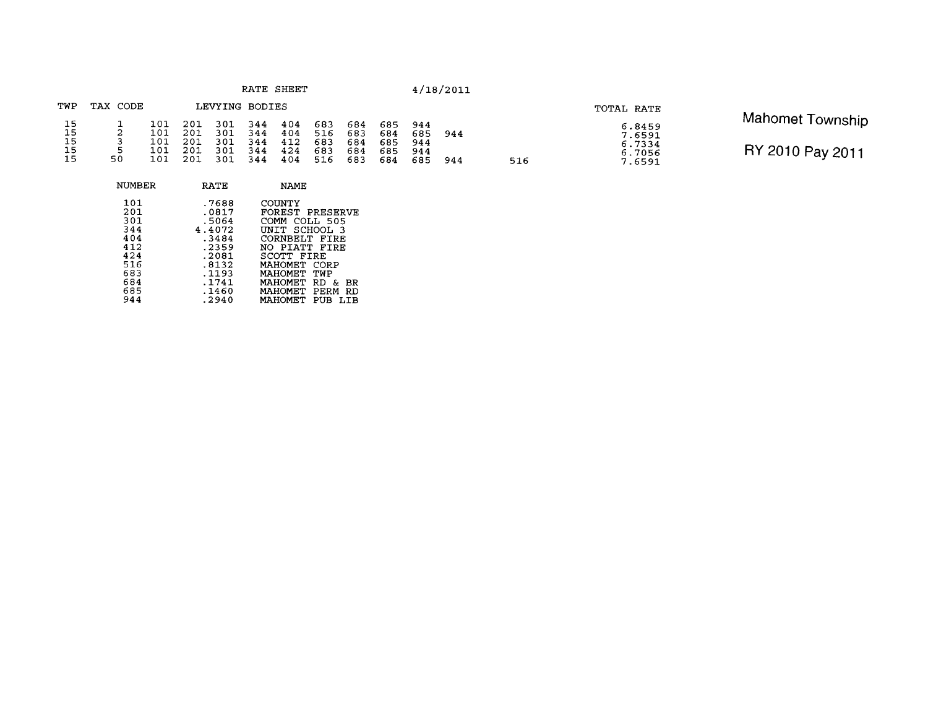| TWP      | TAX CODE |            |            | LEVYING BODIES |            |            |            |            |            |            |     |
|----------|----------|------------|------------|----------------|------------|------------|------------|------------|------------|------------|-----|
| 15       |          | 101        | 201        | 301            | 344        | 404        | 683        | 684        | 685        | 944        |     |
| 15<br>15 | 2        | 101<br>101 | 201<br>201 | 301<br>301     | 344<br>344 | 404<br>412 | 516<br>683 | 683<br>684 | 684<br>685 | 685<br>944 | 944 |
| 15       | 5        | 101        | 201        | 301            | 344        | 424        | 683        | 684        | 685        | 944        |     |
| 15       | 50       | 101        | 201        | 301            | 344        | 404        | 516        | 683        | 684        | 685        | 944 |

516

| NUMBER                                                                           | RATE                                                                                                      | <b>NAME</b>                                                                                                                                                                                                                              |
|----------------------------------------------------------------------------------|-----------------------------------------------------------------------------------------------------------|------------------------------------------------------------------------------------------------------------------------------------------------------------------------------------------------------------------------------------------|
| 101<br>201<br>301<br>344<br>404<br>412<br>424<br>516<br>683<br>684<br>685<br>944 | .7688<br>.0817<br>.5064<br>4.4072<br>.3484<br>.2359<br>.2081<br>.8132<br>.1193<br>.1741<br>.1460<br>.2940 | COUNTY<br>FOREST PRESERVE<br>COMM COLL 505<br>UNIT SCHOOL 3<br>CORNBELT FIRE<br>NO PIATT FIRE<br>SCOTT FIRE<br>MAHOMET CORP<br>MAHOMET<br>TWP<br><b>MAHOMET</b><br>RD<br>&.<br>BR<br>MAHOMET PERM<br>RD<br><b>MAHOMET</b><br>PUB<br>T.TR |
|                                                                                  |                                                                                                           |                                                                                                                                                                                                                                          |

**TOTAL RATE**<br>
6.8459<br>
7.6591<br>
6.7334<br>
6.7056<br>
7.6591<br> **RY 2010 Pay 2011** RY 2010 Pay 2011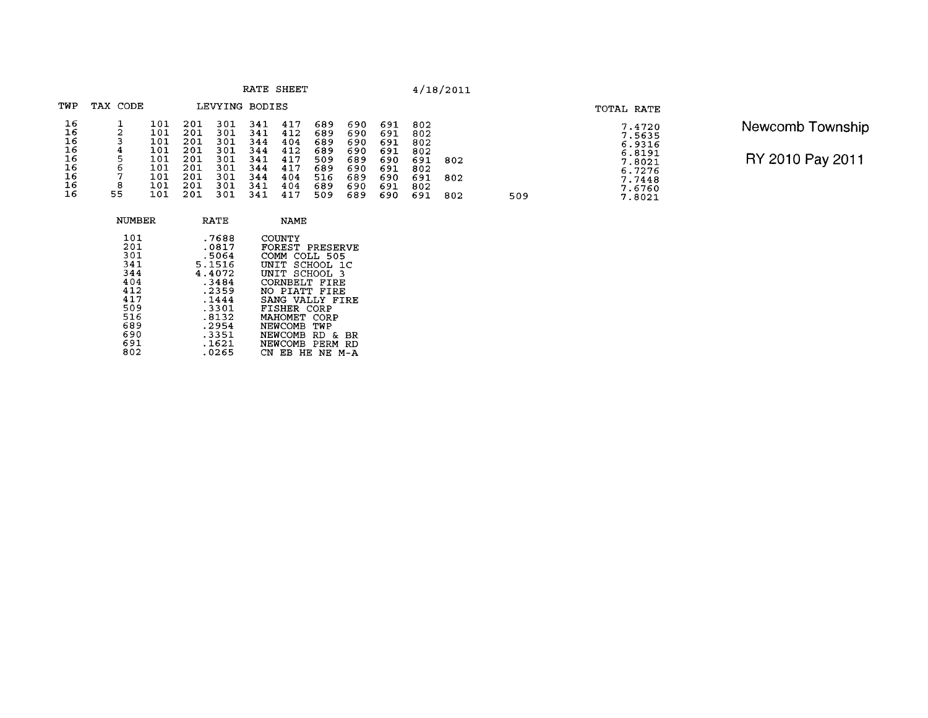|                                                    |                                       |                                                             |                                                             |                                                             |                                                             | RATE SHEET                                                  |                                                             |                                                             |                                                             |                                                             | 4/18/2011         |     |
|----------------------------------------------------|---------------------------------------|-------------------------------------------------------------|-------------------------------------------------------------|-------------------------------------------------------------|-------------------------------------------------------------|-------------------------------------------------------------|-------------------------------------------------------------|-------------------------------------------------------------|-------------------------------------------------------------|-------------------------------------------------------------|-------------------|-----|
| TWP                                                | TAX CODE                              |                                                             |                                                             | LEVYING BODIES                                              |                                                             |                                                             |                                                             |                                                             |                                                             |                                                             |                   |     |
| 16<br>16<br>16<br>16<br>16<br>16<br>16<br>16<br>16 | 2<br>3<br>4<br>5<br>6<br>7<br>8<br>55 | 101<br>101<br>101<br>101<br>101<br>101<br>101<br>101<br>101 | 201<br>201<br>201<br>201<br>201<br>201<br>201<br>201<br>201 | 301<br>301<br>301<br>301<br>301<br>301<br>301<br>301<br>301 | 341<br>341<br>344<br>344<br>341<br>344<br>344<br>341<br>341 | 417<br>412<br>404<br>412<br>417<br>417<br>404<br>404<br>417 | 689<br>689<br>689<br>689<br>509<br>689<br>516<br>689<br>509 | 690<br>690<br>690<br>690<br>689<br>690<br>689<br>690<br>689 | 691<br>691<br>691<br>691<br>690<br>691<br>690<br>691<br>690 | 802<br>802<br>802<br>802<br>691<br>802<br>691<br>802<br>691 | 802<br>802<br>802 | 509 |

| Newcomb Township |
|------------------|
| RY 2010 Pay 2011 |

**TOTAL RATE** 

7.4720<br>5.5635<br>6.8191<br>6.8191<br>7.8021<br>6.7276<br>7.7448<br>7.6760<br>7.8021

| NUMBER                                                                                  | <b>RATE</b>                                                                                                         | NAME                                                                                                                                                                                                                                              |
|-----------------------------------------------------------------------------------------|---------------------------------------------------------------------------------------------------------------------|---------------------------------------------------------------------------------------------------------------------------------------------------------------------------------------------------------------------------------------------------|
| 101<br>201<br>301<br>341<br>344<br>404<br>412<br>417<br>509<br>516<br>689<br>690<br>691 | .7688<br>.0817<br>.5064<br>5.1516<br>4.4072<br>.3484<br>.2359<br>.1444<br>.3301<br>.8132<br>.2954<br>.3351<br>.1621 | COUNTY<br>FOREST PRESERVE<br>COMM<br>COLL 505<br>UNIT SCHOOL 1C<br>UNIT SCHOOL<br>્વ<br>CORNBELT FIRE<br>NO PIATT FIRE<br>SANG VALLY FIRE<br>FISHER CORP<br>МАНОМЕТ<br>CORP<br>NEWCOMB<br>TWP<br>NEWCOMB RD<br>۶e<br>BR.<br>NEWCOMB<br>PERM<br>RD |
| 802                                                                                     | .0265                                                                                                               | HE NE M-A<br>FR.                                                                                                                                                                                                                                  |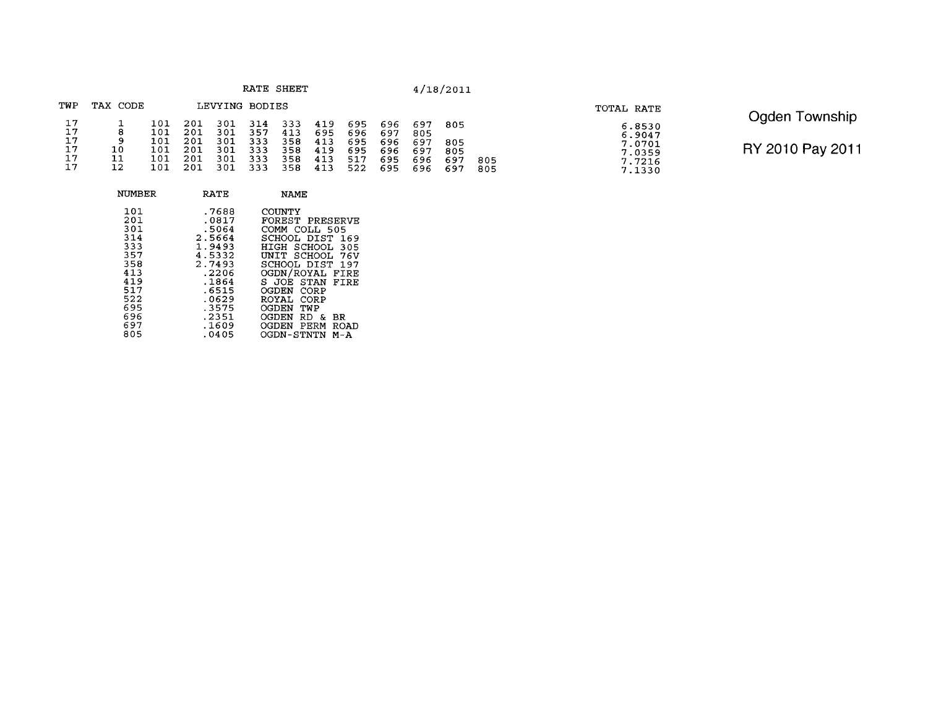| TWP            | TAX CODE |                          |                          |                          | LEVYING BODIES           |                          |                          |                          |                          |                          |                   |            | TOTAL RATE                           |                                         |
|----------------|----------|--------------------------|--------------------------|--------------------------|--------------------------|--------------------------|--------------------------|--------------------------|--------------------------|--------------------------|-------------------|------------|--------------------------------------|-----------------------------------------|
| 17<br>17<br>17 |          | 101<br>101<br>101<br>101 | 201<br>201<br>201<br>201 | 301<br>301<br>301<br>301 | 314<br>357<br>333<br>333 | 333<br>413<br>358<br>358 | 419<br>695<br>413<br>419 | 695<br>696<br>695<br>695 | 696<br>697<br>696<br>696 | 697<br>805<br>697<br>697 | 805<br>805<br>805 |            | 6.8530<br>6.9047<br>7.0701<br>7.0359 | Ogden T<br>Township<br>RY 2010 Pay 2011 |
| 17             | 11       | 101<br>101               | 201<br>201               | 301<br>301               | 333<br>333               | 358<br>358               | 413<br>413               | 517<br>522               | 695<br>695               | 696<br>696               | 697<br>-697       | 805<br>805 | 7.7216<br>7.1330                     |                                         |

| NUMBER                                                                                         | RATE                                                                                                                           | <b>NAME</b>                                                                                                                                                                                                                                                                               |
|------------------------------------------------------------------------------------------------|--------------------------------------------------------------------------------------------------------------------------------|-------------------------------------------------------------------------------------------------------------------------------------------------------------------------------------------------------------------------------------------------------------------------------------------|
| 101<br>201<br>301<br>314<br>333<br>357<br>358<br>413<br>419<br>517<br>522<br>695<br>696<br>697 | .7688<br>.0817<br>.5064<br>2.5664<br>1.9493<br>4.5332<br>2.7493<br>.2206<br>.1864<br>.6515<br>.0629<br>.3575<br>.2351<br>.1609 | COUNTY<br>FOREST PRESERVE<br>COMM COLL 505<br>SCHOOL DIST<br>169<br>HIGH<br>SCHOOL<br>305<br>UNIT SCHOOL<br>76V<br>SCHOOL DIST<br>- 197<br>OGDN/ROYAL FIRE<br>STAN<br>S JOE<br>FTRE<br>CORP<br>OGDEN<br>ROYAL CORP<br>OGDEN<br>TWP<br>OGDEN<br>RD &<br>BR<br>OGDEN<br>PERM<br><b>ROAD</b> |
| 805                                                                                            | .0405                                                                                                                          | OGDN-STNTN<br>M – A                                                                                                                                                                                                                                                                       |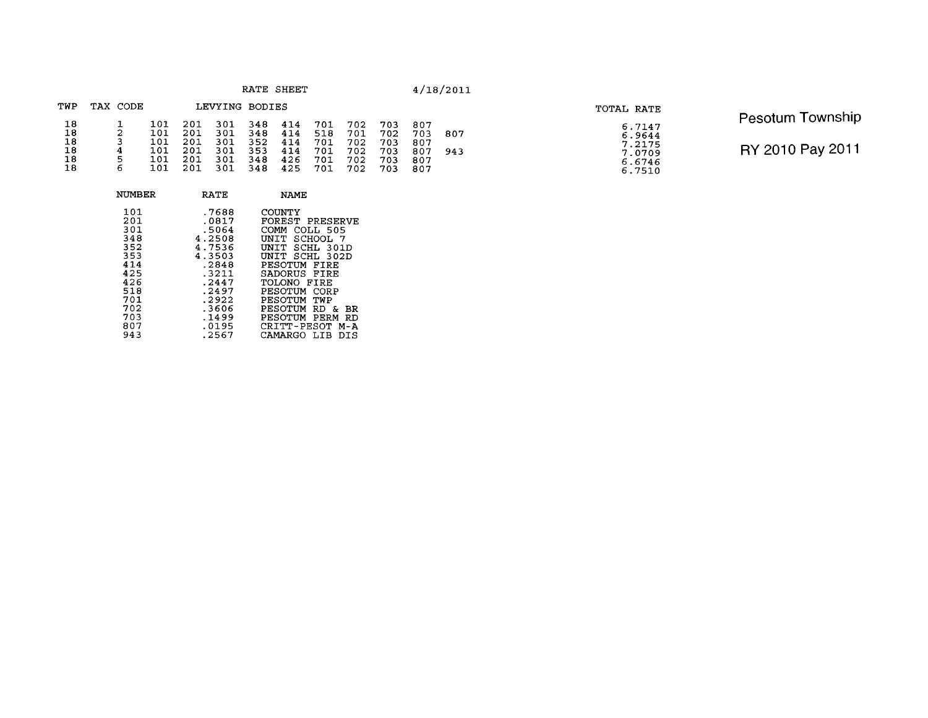| RATE | SHEET |
|------|-------|
|      |       |

| TWP      | TAX CODE |            |            | LEVYING BODIES |            |            |            |            |            |            |     |
|----------|----------|------------|------------|----------------|------------|------------|------------|------------|------------|------------|-----|
| 18<br>18 | 2        | 101<br>101 | 201<br>201 | 301<br>301     | 348<br>348 | 414<br>414 | 701<br>518 | 702<br>701 | 703<br>702 | 807<br>703 | 807 |
| 18       | 3        | 101        | 201        | 301            | 352        | 414        | 701        | 702        | 703        | 807        | 943 |
| 18       | 4        | 101        | 201        | 301            | 353        | 414        | 701        | 702        | 703        | 807        |     |
| 18       | 5        | 101        | 201        | 301            | 348        | 426        | 701        | 702        | 703        | 807        |     |
| 18       | 6        | 101        | 201        | 301            | 348        | 425        | 701        | 702        | 703        | 807        |     |

| NUMBER                                               | <b>RATE</b>                                                             | NAME                                                                                                                                       |
|------------------------------------------------------|-------------------------------------------------------------------------|--------------------------------------------------------------------------------------------------------------------------------------------|
| 101<br>201<br>301<br>348<br>352<br>353<br>414<br>425 | .7688<br>.0817<br>.5064<br>4.2508<br>4.7536<br>4.3503<br>.2848<br>.3211 | COUNTY<br>FOREST PRESERVE<br>COMM<br>COLL 505<br>SCHOOL 7<br>UNIT<br>UNIT SCHL 301D<br>- SCHL 302D<br>UNIT<br>PESOTUM FIRE<br>SADORUS FIRE |
| 426<br>518<br>701<br>702<br>703<br>807<br>943        | .2447<br>.2497<br>.2922<br>.3606<br>.1499<br>.0195<br>.2567             | TOLONO FIRE<br>PESOTUM<br>CORP<br>PESOTUM TWP<br>PESOTUM RD<br>вR<br>δc.<br>PESOTUM PERM<br>RD<br>CRITT-PESOT M-A<br>CAMARGO LIB<br>DIS    |

| 'OTAL RATE |                                                          |  |
|------------|----------------------------------------------------------|--|
|            | 6.7147<br>6.9644<br>7.2175<br>7.0709<br>6.6746<br>6.7510 |  |

Pesotum Township RY 2010 Pay 2011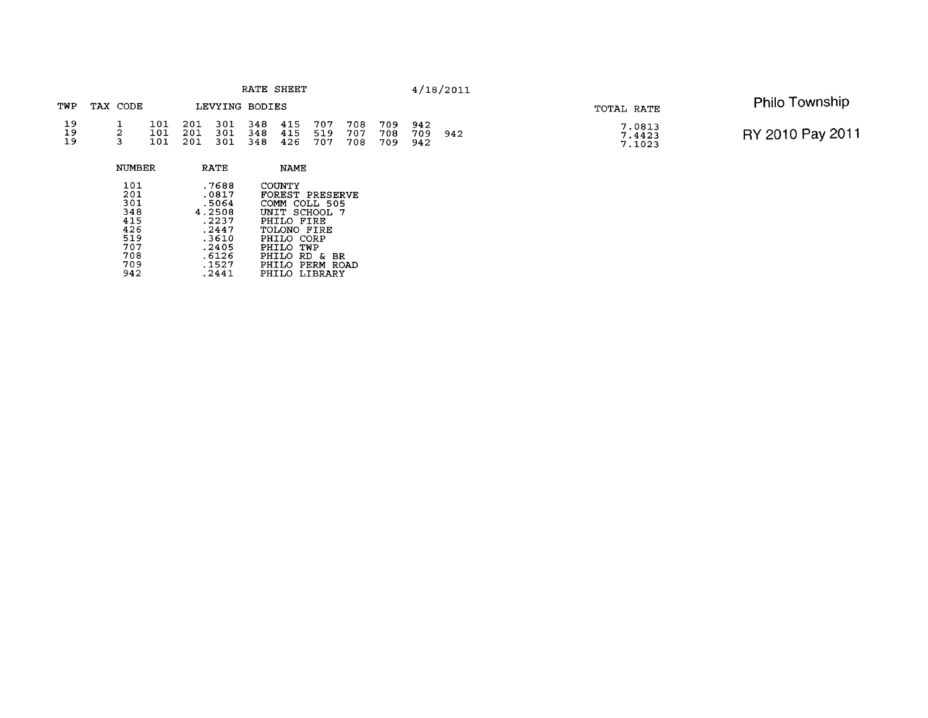|                | RATE SHEET |        |                   |                   |                   |                   |                   |                   |                   |                   | 4/18/2011         |     |                            |                       |
|----------------|------------|--------|-------------------|-------------------|-------------------|-------------------|-------------------|-------------------|-------------------|-------------------|-------------------|-----|----------------------------|-----------------------|
| TWP            | TAX CODE   |        |                   |                   |                   | LEVYING BODIES    |                   |                   |                   |                   |                   |     | TOTAL RATE                 | <b>Philo Township</b> |
| 19<br>19<br>19 |            |        | 101<br>101<br>101 | 201<br>201<br>201 | 301<br>301<br>301 | 348<br>348<br>348 | 415<br>415<br>426 | 707<br>519<br>707 | 708<br>707<br>708 | 709<br>708<br>709 | 942<br>709<br>942 | 942 | 7.0813<br>7.4423<br>7.1023 | RY 2010 Pay 2011      |
|                |            | NUMBER |                   |                   | RATE              |                   | <b>NAME</b>       |                   |                   |                   |                   |     |                            |                       |

| 101<br>201 | .7688<br>.0817 | COUNTY<br>FOREST PRESERVE |
|------------|----------------|---------------------------|
| 301        | .5064          | COMM COLL 505             |
| 348        | 4.2508         | UNIT SCHOOL 7             |
| 415        | .2237          | PHILO FIRE                |
| 426        | .2447          | TOLONO FIRE               |
| 519        | .3610          | PHILO CORP                |
| 707        | .2405          | PHILO TWP                 |
| 708        | .6126          | PHILO RD & BR             |
| 709        | .1527          | PHILO PERM ROAD           |
| 942        | . 2441         | PHILO LIBRARY             |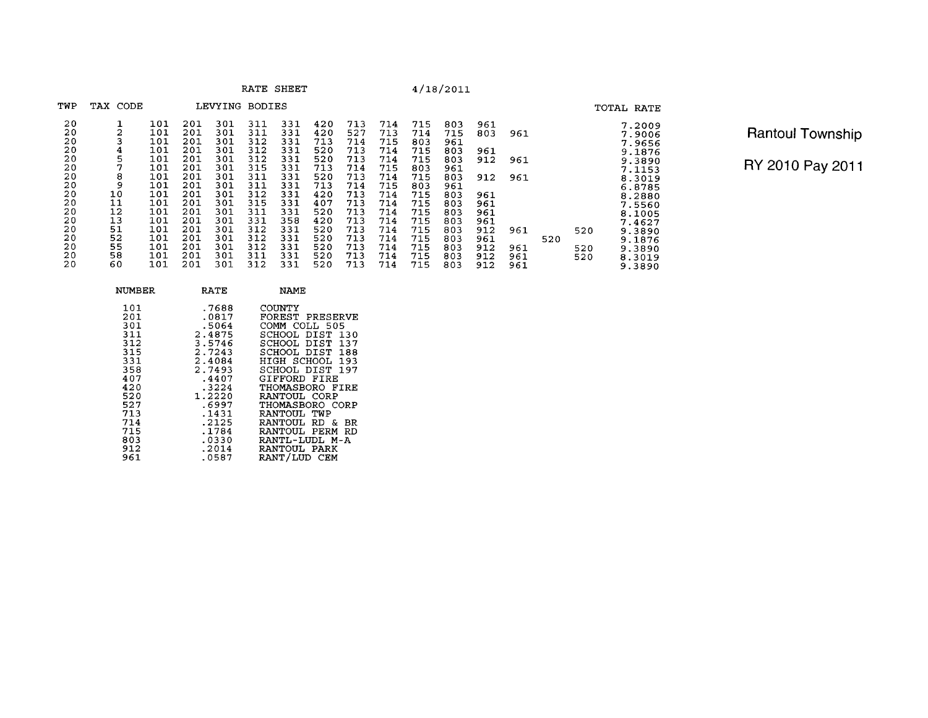**RATE SHEET** 

## $4/18/2011$

| TWP | TAX CODE |     |     | LEVYING | <b>BODIES</b> |     |     |     |     |     |     |     |     |     |     | TOTAL RATE |
|-----|----------|-----|-----|---------|---------------|-----|-----|-----|-----|-----|-----|-----|-----|-----|-----|------------|
| 20  |          | 101 | 201 | 301     | 311           | 331 | 420 | 713 | 714 | 715 | 803 | 961 |     |     |     | 7.2009     |
| 20  | 2        | 101 | 201 | 301     | 311           | 331 | 420 | 527 | 713 | 714 | 715 | 803 | 961 |     |     | 7.9006     |
| 20  |          | 101 | 201 | 301     | 312           | 331 | 713 | 714 | 715 | 803 | 961 |     |     |     |     | 7.9656     |
| 20  | 4        | 101 | 201 | 301     | 312           | 331 | 520 | 713 | 714 | 715 | 803 | 961 |     |     |     | 9.1876     |
| 20  | 5        | 101 | 201 | 301     | 312           | 331 | 520 | 713 | 714 | 715 | 803 | 912 | 961 |     |     | 9.3890     |
| 20  |          | 101 | 201 | 301     | 315           | 331 | 713 | 714 | 715 | 803 | 961 |     |     |     |     | 7.1153     |
| 20  | 8        | 101 | 201 | 301     | 311           | 331 | 520 | 713 | 714 | 715 | 803 | 912 | 961 |     |     | 8.3019     |
| 20  | 9        | 101 | 201 | 301     | 311           | 331 | 713 | 714 | 715 | 803 | 961 |     |     |     |     | 6.8785     |
| 20  | 10       | 101 | 201 | 301     | 312           | 331 | 420 | 713 | 714 | 715 | 803 | 961 |     |     |     | 8.2880     |
| 20  | 11       | 101 | 201 | 301     | 315           | 331 | 407 | 713 | 714 | 715 | 803 | 961 |     |     |     | 7.5560     |
| 20  | 12       | 101 | 201 | 301     | 311           | 331 | 520 | 713 | 714 | 715 | 803 | 961 |     |     |     | 8.1005     |
| 20  | 13       | 101 | 201 | 301     | 331           | 358 | 420 | 713 | 714 | 715 | 803 | 961 |     |     |     | 7.4627     |
| 20  | 51       | 101 | 201 | 301     | 312           | 331 | 520 | 713 | 714 | 715 | 803 | 912 | 961 |     | 520 | 9.3890     |
| 20  | 52       | 101 | 201 | 301     | 312           | 331 | 520 | 713 | 714 | 715 | 803 | 961 |     | 520 |     | 9.1876     |
| 20  | 55       | 101 | 201 | 301     | 312           | 331 | 520 | 713 | 714 | 715 | 803 | 912 | 961 |     | 520 | 9.3890     |
| 20  | 58       | 101 | 201 | 301     | 311           | 331 | 520 | 713 | 714 | 715 | 803 | 912 | 961 |     | 520 | 8.3019     |
| 20  | 60       | 101 | 201 | 301     | 312           | 331 | 520 | 713 | 714 | 715 | 803 | 912 | 961 |     |     | 9.3890     |

Rantoul Township

| NUMBER                                                                                                                     | RATE                                                                                                                                                                  | NAME                                                                                                                                                                                                                                                                                                                                  |
|----------------------------------------------------------------------------------------------------------------------------|-----------------------------------------------------------------------------------------------------------------------------------------------------------------------|---------------------------------------------------------------------------------------------------------------------------------------------------------------------------------------------------------------------------------------------------------------------------------------------------------------------------------------|
| 101<br>201<br>301<br>311<br>312<br>315<br>331<br>358<br>407<br>420<br>520<br>527<br>713<br>714<br>715<br>803<br>912<br>961 | .7688<br>.0817<br>.5064<br>2.4875<br>3.5746<br>2.7243<br>2.4084<br>2.7493<br>.4407<br>.3224<br>1.2220<br>.6997<br>. 1431<br>.2125<br>.1784<br>.0330<br>.2014<br>.0587 | COUNTY<br>FOREST PRESERVE<br>COMM COLL 505<br>SCHOOL DIST 130<br>SCHOOL DIST 137<br>SCHOOL DIST 188<br>HIGH SCHOOL 193<br>SCHOOL DIST 197<br>GIFFORD FIRE<br>THOMASBORO FIRE<br>RANTOUL CORP<br>THOMASBORO CORP<br>RANTOUL TWP<br>RANTOUL.<br>RD &<br>- BR<br>RANTOUL PERM<br>RD<br>RANTI - LIDI. M-A<br>RANTOUL PARK<br>RANT/LUD CEM |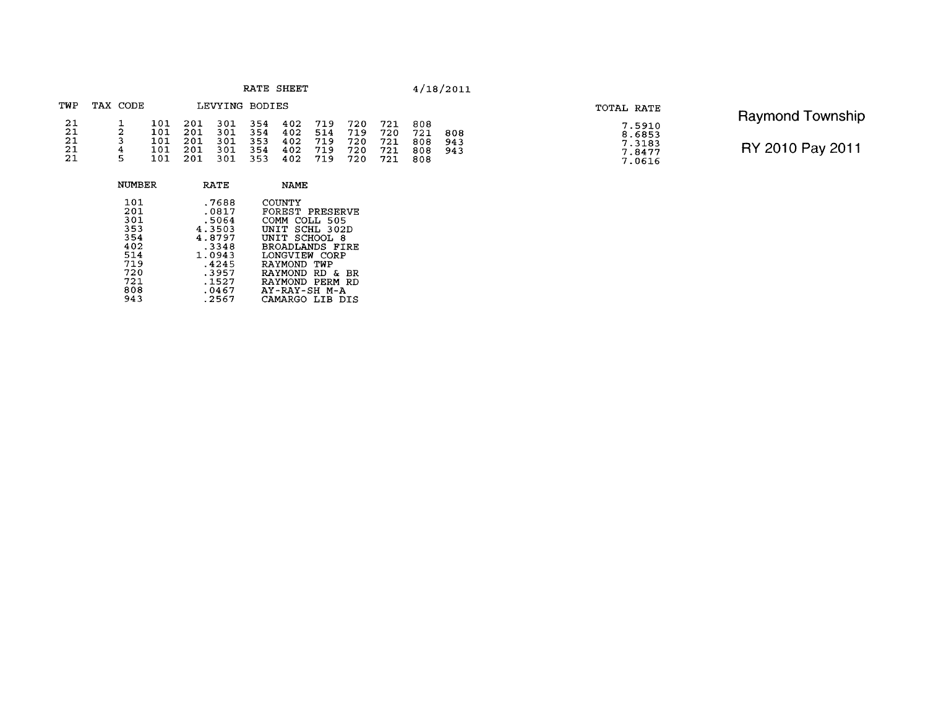| RATE |  |  |  |  | SHEET |
|------|--|--|--|--|-------|
|------|--|--|--|--|-------|

| TWP                        | TAX CODE     |                                 |                                  | LEVYING BODIES                  |                                 |                                 |                                 |                                 |                                  |                                 |                   |
|----------------------------|--------------|---------------------------------|----------------------------------|---------------------------------|---------------------------------|---------------------------------|---------------------------------|---------------------------------|----------------------------------|---------------------------------|-------------------|
| 21<br>21<br>21<br>21<br>21 | 2<br>4<br>Б. | 101<br>101<br>101<br>101<br>101 | -201<br>201<br>201<br>201<br>201 | 301<br>301<br>301<br>301<br>301 | 354<br>354<br>353<br>354<br>353 | 402<br>402<br>402<br>402<br>402 | 719<br>514<br>719<br>719<br>719 | 720<br>719<br>720<br>720<br>720 | 721<br>720<br>721<br>721<br>721. | 808<br>721<br>808<br>808<br>808 | 808<br>943<br>943 |

| TOTAL RATE |                                                |
|------------|------------------------------------------------|
|            | 7.5910<br>8.6853<br>7.3183<br>7.8477<br>7.0616 |

| <b>Raymond Township</b> |  |
|-------------------------|--|
| RY 2010 Pay 2011        |  |

| NUMBER                                                             | RATE                                                                                      | NAME                                                                                                                                                                                                |
|--------------------------------------------------------------------|-------------------------------------------------------------------------------------------|-----------------------------------------------------------------------------------------------------------------------------------------------------------------------------------------------------|
| 101<br>201<br>301<br>353<br>354<br>402<br>514<br>719<br>720<br>721 | .7688<br>.0817<br>.5064<br>4.3503<br>4.8797<br>.3348<br>1.0943<br>.4245<br>.3957<br>.1527 | COUNTY<br>FOREST PRESERVE<br>COMM<br>COLL 505<br>SCHL 302D<br><b>INTT</b><br>SCHOOL<br>UNTT<br>-8<br>BROADLANDS FIRE<br>LONGVIEW CORP<br>RAYMOND TWP<br>RAYMOND RD<br>δr.<br>BR.<br>RAYMOND PERM RD |
| 808<br>943                                                         | .0467<br>.2567                                                                            | AY-RAY-SH M-A<br>CAMARGO LIB<br>DT S                                                                                                                                                                |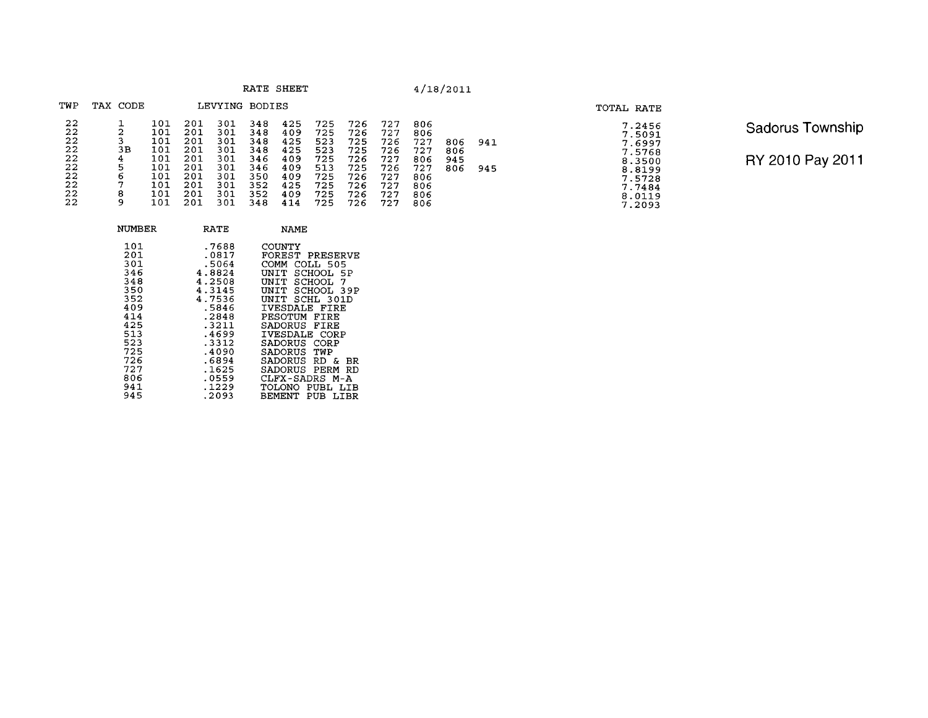| RATE | <b>SHEET</b> |
|------|--------------|
|------|--------------|

| TWP                  | TAX CODE     |                          |                          | LEVYING                  | <b>BODIES</b>            |                          |                          |                          |                          |                          |            |      |
|----------------------|--------------|--------------------------|--------------------------|--------------------------|--------------------------|--------------------------|--------------------------|--------------------------|--------------------------|--------------------------|------------|------|
| 22<br>22<br>22<br>22 | 2<br>3<br>3В | 101<br>101<br>101<br>101 | 201<br>201<br>201<br>201 | 301<br>301<br>301<br>301 | 348<br>348<br>348<br>348 | 425<br>409<br>425<br>425 | 725<br>725<br>523<br>523 | 726<br>726<br>725<br>725 | 727<br>727<br>726<br>726 | 806<br>806<br>727<br>727 | 806<br>806 | 941  |
| 22<br>22             | 4<br>5       | 101<br>101               | 201<br>201               | 301<br>301               | 346<br>346               | 409<br>409               | 725<br>513               | 726<br>725               | 727<br>726               | 806<br>727               | 945<br>806 |      |
| 22<br>22             | 6<br>7       | 101<br>101               | 201<br>201               | 301<br>301               | 350<br>352               | 409<br>425               | 725<br>725               | 726<br>726               | 727<br>727               | 806<br>806               |            | 945. |
| 22<br>22             | 8<br>9       | 101<br>101               | 201<br>201               | 301<br>301               | 352<br>348               | 409<br>414               | 725<br>725               | 726<br>726               | 727<br>727               | 806<br>806               |            |      |

| 7.2456           |  |
|------------------|--|
| 7.5091           |  |
| 7.6997<br>7.5768 |  |
| 8.3500           |  |
| 8.8199           |  |
| 7.5728           |  |
| 7.7484           |  |
| 8.0119           |  |
| 7.2093           |  |

TOTAL RATE

Sadorus Township RY 2010 Pay 2011

| NUMBER                                                                                                       | RATE                                                                                                                                             | <b>NAME</b>                                                                                                                                                                                                                                                                                                                |
|--------------------------------------------------------------------------------------------------------------|--------------------------------------------------------------------------------------------------------------------------------------------------|----------------------------------------------------------------------------------------------------------------------------------------------------------------------------------------------------------------------------------------------------------------------------------------------------------------------------|
| 101<br>201<br>301<br>346<br>348<br>350<br>352<br>409<br>414<br>425<br>513<br>523<br>725<br>726<br>727<br>806 | .7688<br>.0817<br>.5064<br>4.8824<br>4.2508<br>4.3145<br>4.7536<br>.5846<br>.2848<br>.3211<br>.4699<br>.3312<br>.4090<br>.6894<br>.1625<br>.0559 | COUNTY<br>FOREST<br>PRESERVE<br>COMM.<br>COLL 505<br>UNTT<br>SCHOOL 5P<br>SCHOOL<br>UNTT<br>7<br>UNIT SCHOOL 39P<br>SCHL 301D<br>IINTT<br>IVESDALE FIRE<br>PESOTUM FIRE<br>FIRE<br>SADORUS<br>IVESDALE CORP<br>SADORIJS<br>CORP<br>SADORUS<br>TWP<br><b>SADORUS RD &amp;</b><br>BR<br>SADORUS PERM<br>RD<br>CLFX-SADRS M-A |
| 941<br>945                                                                                                   | .1229<br>.2093                                                                                                                                   | TOLONO PUBL LIB<br>PUB<br><b>BEMENT</b><br>LIBR                                                                                                                                                                                                                                                                            |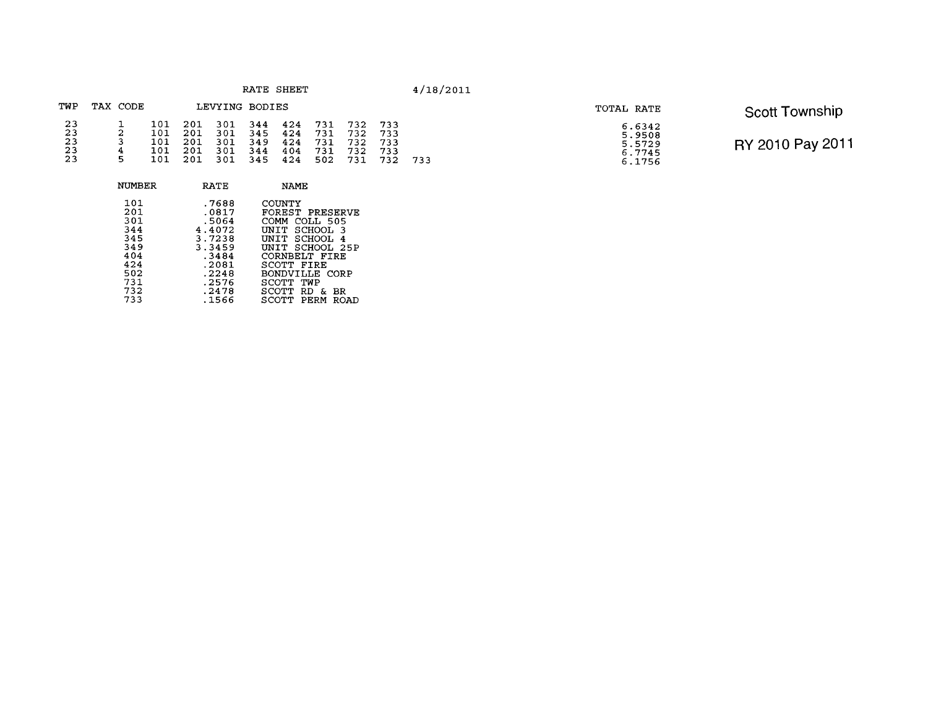| RATE. | SHEET |
|-------|-------|
|-------|-------|

### TWP TAX CODE LEVYING BODIES  $\begin{array}{cccc} 101 & 201 & 301 \\ 101 & 201 & 301 \\ 101 & 201 & 301 \\ 101 & 201 & 301 \\ 101 & 201 & 301 \\ 101 & 201 & 301 \end{array}$  $\begin{array}{cccc} 344 & 424 & 731 \\ 345 & 424 & 731 \\ 349 & 424 & 731 \\ 344 & 404 & 731 \\ 345 & 424 & 502 \end{array}$ 732 733<br>732 733<br>732 733<br>732 733<br>731 732  $\begin{array}{c} 23 \\ 23 \\ 23 \\ 23 \\ 23 \end{array}$  $\frac{1}{2}$ <br> $\frac{3}{4}$ <br>5 733

| NUMBER | RATE   | NAME                    |
|--------|--------|-------------------------|
| 101    | .7688  | COUNTY                  |
| 201    | .0817  | FOREST PRESERVE         |
| 301    | .5064  | <b>COMM</b><br>COLL 505 |
| 344    | 4.4072 | UNIT SCHOOL 3           |
| 345    | 3.7238 | UNIT SCHOOL 4           |
| 349    | 3.3459 | UNIT SCHOOL 25P         |
| 404    | .3484  | CORNBELT FIRE           |
| 424    | .2081  | SCOTT FIRE              |
| 502    | .2248  | BONDVILLE CORP          |
| 731    | .2576  | SCOTT<br>TWP            |
| 732    | .2478  | SCOTT RD<br>ΒR<br>- &   |
| 733    | .1566  | SCOTT<br>PERM<br>ROAD   |
|        |        |                         |

| TOTAL RATE |                                                | <b>Scott Township</b> |
|------------|------------------------------------------------|-----------------------|
|            | 6.6342<br>5.9508<br>5.5729<br>6.7745<br>6.1756 | RY 2010 Pay 2011      |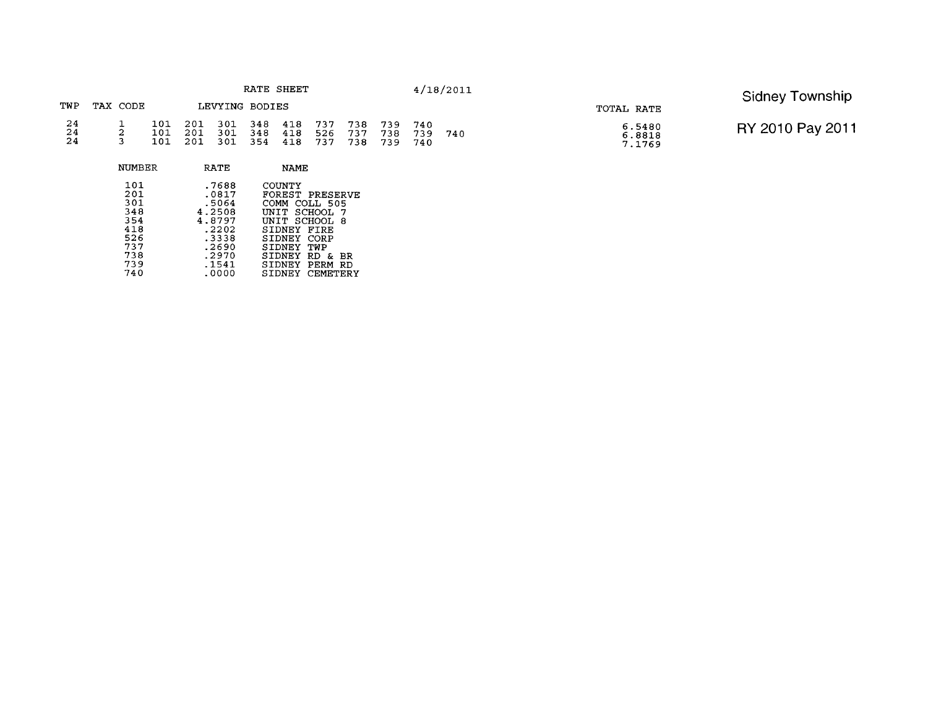|                                               |          | RATE SHEET |                                                    |                    |  |            |                    |                   | 4/18/2011             |            | Sidney Township |                            |                  |
|-----------------------------------------------|----------|------------|----------------------------------------------------|--------------------|--|------------|--------------------|-------------------|-----------------------|------------|-----------------|----------------------------|------------------|
| TWP                                           | TAX CODE |            |                                                    | LEVYING BODIES     |  |            |                    |                   |                       |            |                 | TOTAL RATE                 |                  |
| $\begin{array}{c} 24 \\ 24 \\ 24 \end{array}$ | -44      | 101        | 101 201 301 348 418<br>$-201$ $\degree$<br>101 201 | 301 348<br>301 354 |  | 418<br>418 | -737<br>526<br>737 | 738<br>737<br>738 | 739<br>738<br>739 740 | 740<br>739 | - 740           | 6.5480<br>6.8818<br>7.1769 | RY 2010 Pay 2011 |

| NUMBER                                                             | RATE                                                                                     | NAME                                                                                                                                                                                                     |
|--------------------------------------------------------------------|------------------------------------------------------------------------------------------|----------------------------------------------------------------------------------------------------------------------------------------------------------------------------------------------------------|
| 101<br>201<br>301<br>348<br>354<br>418<br>526<br>737<br>738<br>739 | .7688<br>.0817<br>.5064<br>4.2508<br>4.8797<br>.2202<br>.3338<br>.2690<br>.2970<br>.1541 | <b>COUNTY</b><br>FOREST PRESERVE<br>COMM<br>COLL 505<br>UNIT SCHOOL<br>-7<br>UNIT SCHOOL<br>- 8<br>SIDNEY<br>FIRE<br>SIDNEY<br>CORP<br>SIDNEY<br>TWP<br>SIDNEY<br>RD<br>ВR<br>&.<br>SIDNEY<br>PERM<br>RD |
| 740                                                                | .0000                                                                                    | CEMETERY<br>SIDNEY                                                                                                                                                                                       |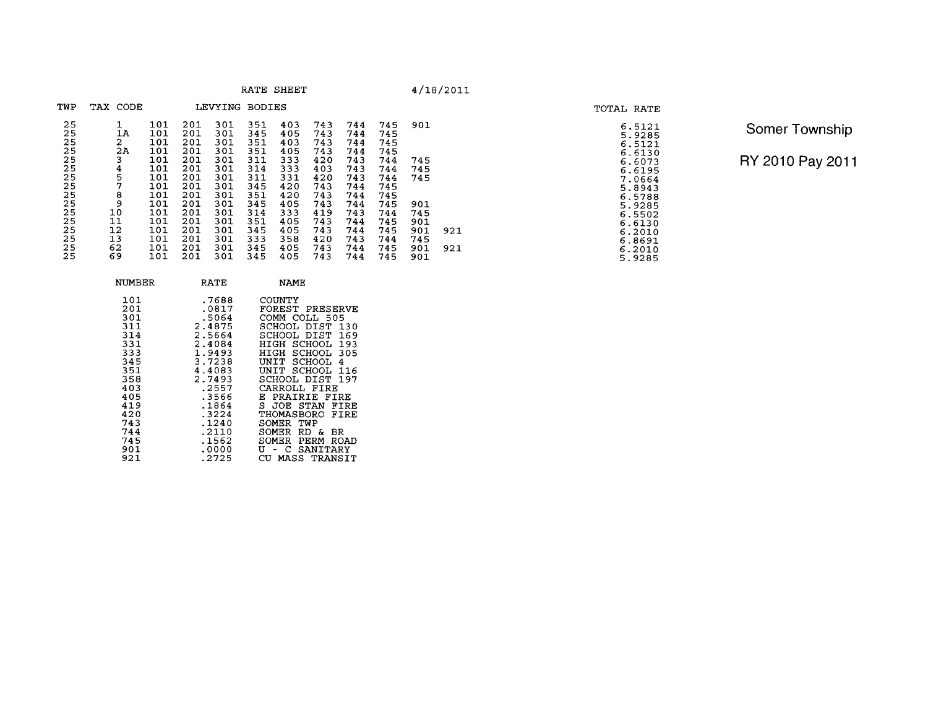|  | RATE SHEET |
|--|------------|
|--|------------|

**R**  $4/18/2011$ 

| TWP                  | TAX CODE           |                   |                          | LEVYING BODIES    |                   |                   |                   |                   |                   |                   |     |
|----------------------|--------------------|-------------------|--------------------------|-------------------|-------------------|-------------------|-------------------|-------------------|-------------------|-------------------|-----|
| 25<br>25<br>25<br>25 | 1<br>1A<br>2<br>2Α | 101<br>101<br>101 | 201<br>201<br>201<br>201 | 301<br>301<br>301 | 351<br>345<br>351 | 403<br>405<br>403 | 743<br>743<br>743 | 744<br>744<br>744 | 745<br>745<br>745 | 901               |     |
| 25<br>25             | 3<br>4             | 101<br>101<br>101 | 201<br>201               | 301<br>301<br>301 | 351<br>311<br>314 | 405<br>333<br>333 | 743<br>420<br>403 | 744<br>743<br>743 | 745<br>744<br>744 | 745<br>745        |     |
| 25<br>25<br>25       | 5<br>7<br>8        | 101<br>101<br>101 | 201<br>201<br>201        | 301<br>301<br>301 | 311<br>345<br>351 | 331<br>420<br>420 | 420<br>743<br>743 | 743<br>744<br>744 | 744<br>745<br>745 | 745               |     |
| 25<br>25<br>25       | 9<br>10<br>11      | 101<br>101<br>101 | 201<br>201<br>201        | 301<br>301<br>301 | 345<br>314<br>351 | 405<br>333<br>405 | 743<br>419<br>743 | 744<br>743<br>744 | 745<br>744<br>745 | 901<br>745<br>901 |     |
| 25<br>25             | 12<br>13           | 101<br>101        | 201<br>201               | 301<br>301        | 345<br>333        | 405<br>358        | 743<br>420        | 744<br>743        | 745<br>744        | 901<br>745        | 921 |
| 25<br>25             | 62<br>69           | 101<br>101        | 201<br>201               | 301<br>301        | 345<br>345        | 405<br>405        | 743<br>743        | 744<br>744        | 745<br>745        | 901<br>901        | 921 |

| 1<br>$\mathbf{1}$<br>$\mathbf 1$<br>$\mathbf{1}$<br>$\mathbf{1}$ | 351<br>345<br>333<br>345<br>345 | 405<br>405<br>358<br>405<br>405                                                                                                                      | 743<br>743<br>420<br>743<br>743 | 744<br>744<br>743<br>744<br>744 | 745<br>745<br>744<br>745<br>745 | 901<br>901<br>745<br>901<br>901 |
|------------------------------------------------------------------|---------------------------------|------------------------------------------------------------------------------------------------------------------------------------------------------|---------------------------------|---------------------------------|---------------------------------|---------------------------------|
|                                                                  |                                 | NAME                                                                                                                                                 |                                 |                                 |                                 |                                 |
| 8<br>7<br>$\frac{4}{5}$<br>4<br>3<br>8<br>3                      |                                 | COUNTY<br>FOREST PRESERVE<br>COMM COLL 505<br>SCHOOL DIST 130<br>SCHOOL DIST 169<br>HIGH SCHOOL 193<br>HIGH SCHOOL 305<br>UNIT SCHOOL<br>UNIT SCHOOL |                                 | 4<br>116                        |                                 |                                 |
| -                                                                |                                 |                                                                                                                                                      |                                 |                                 |                                 |                                 |

Somer Township RY 2010 Pay 2011

**TOTAL RATE** 

 $\begin{array}{r} 6.5121 \\ 5.9285 \\ 6.6130 \\ 6.6130 \\ 6.6130 \\ 6.6195 \\ 6.70664 \\ 7.96643 \\ 8.9288 \\ 6.5788 \\ 6.5130 \\ 6.2010 \\ 6.2010 \\ 6.2010 \\ 6.2010 \\ 6.2010 \\ 5.9285 \end{array}$ 

**NUMBER RATE** 4.4083 UNIT SCHOOL 116<br>2.7493 SCHOOL DIST 197<br>2557 CARROLL FIRE<br>.3566 E PRAIRIE FIRE<br>.1864 S JOE STAN FIRE<br>.1240 SOMER TWP<br>.1240 SOMER RD & BR<br>.1562 SOMER RD & BR<br>.1562 SOMER RD & BR<br>.1562 U MASS TRANT<br>.0000 U - C SANITARY  $\frac{403}{405}$ 404424451444517744511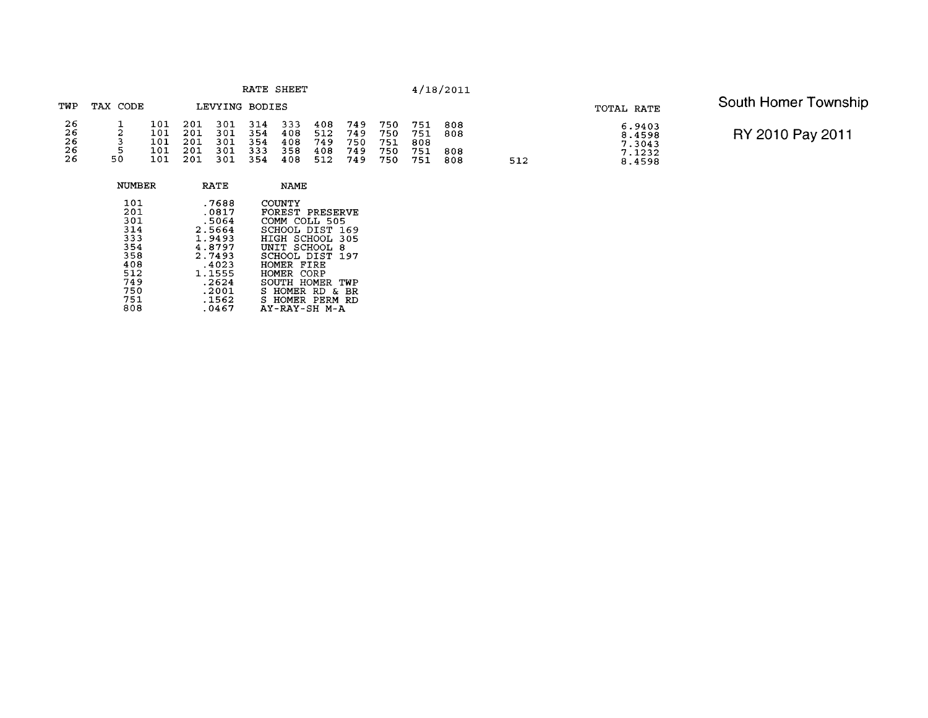| RATE | SHEET |  |
|------|-------|--|
|------|-------|--|

### **TWP TAX CODE LEVYING BODIES**   $2626$ <br> $266$ <br> $26$ <br> $26$  $\begin{array}{cc} 101 & 201 \\ 101 & 201 \\ 101 & 201 \\ 101 & 201 \\ 101 & 201 \\ 101 & 201 \end{array}$ 301<br>301<br>301<br>301<br>301  $314$ <br>  $354$ <br>  $354$ <br>  $333$ <br>  $354$  $\begin{array}{c}\n1 \\
2 \\
3 \\
50\n\end{array}$  $333408408458358408$  $408$ <br>512<br>749<br>7408<br>512 749<br>749<br>750<br>749<br>749 751<br>751<br>808<br>751<br>751 750<br>750<br>751<br>750<br>750  $\begin{smallmatrix}808\08\end{smallmatrix}$  $\begin{smallmatrix}808\808\end{smallmatrix}$

512

| NUMBER                                                                                  | <b>RATE</b>                                                                                                            | <b>NAME</b>                                                                                                                                                                                                                                      |
|-----------------------------------------------------------------------------------------|------------------------------------------------------------------------------------------------------------------------|--------------------------------------------------------------------------------------------------------------------------------------------------------------------------------------------------------------------------------------------------|
| 101<br>201<br>301<br>314<br>333<br>354<br>358<br>408<br>512<br>749<br>750<br>751<br>808 | .7688<br>.0817<br>.5064<br>2.5664<br>1.9493<br>4.8797<br>2.7493<br>.4023<br>1.1555<br>.2624<br>.2001<br>.1562<br>.0467 | COUNTY<br>FOREST PRESERVE<br>COMM COLL 505<br>SCHOOL DIST<br>169<br>HIGH SCHOOL<br>305<br>UNIT SCHOOL<br>8<br>SCHOOL DIST 197<br>HOMER FIRE<br>HOMER CORP<br>SOUTH HOMER<br>TWP<br>S HOMER RD<br>вR<br>δ.<br>S HOMER PERM<br>RD<br>AY-RAY-SH M-A |
|                                                                                         |                                                                                                                        |                                                                                                                                                                                                                                                  |

 $6.9403$ <br> $8.4598$ <br> $7.3043$ <br> $7.1232$ <br> $8.4598$ 

# **TOTAL RATE** South Homer Township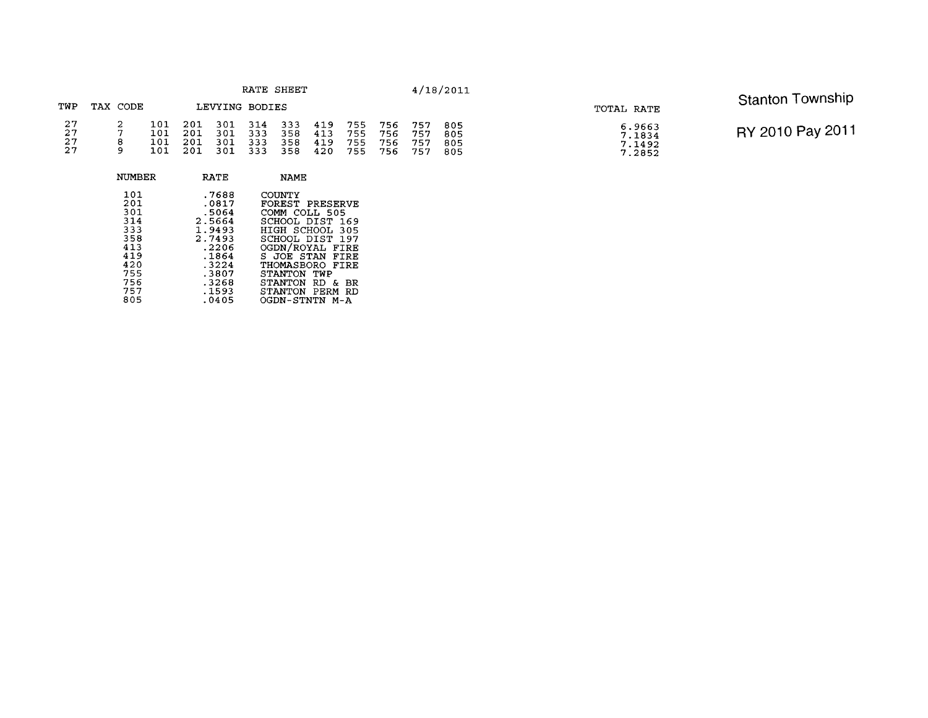| RATE SHEET           |  |                          |                           |                          |                          |                          | 4/18/2011                |                          | <b>Stanton Township</b>  |                          |                          |                                      |                  |
|----------------------|--|--------------------------|---------------------------|--------------------------|--------------------------|--------------------------|--------------------------|--------------------------|--------------------------|--------------------------|--------------------------|--------------------------------------|------------------|
| TWP<br>TAX CODE      |  | LEVYING BODIES           |                           |                          |                          |                          |                          |                          | TOTAL RATE               |                          |                          |                                      |                  |
| 27<br>27<br>27<br>27 |  | 101<br>101<br>101<br>101 | 201<br>201<br>-201<br>201 | 301<br>301<br>301<br>301 | 314<br>333<br>333<br>333 | 333<br>358<br>358<br>358 | 419<br>413<br>419<br>420 | 755<br>755<br>755<br>755 | 756<br>756<br>756<br>756 | 757<br>757<br>757<br>757 | 805<br>805<br>805<br>805 | 6.9663<br>7.1834<br>7.1492<br>7.2852 | RY 2010 Pay 2011 |

| NUMBER                                                                           | RATE                                                                                                        | <b>NAME</b>                                                                                                                                                                                                                         |
|----------------------------------------------------------------------------------|-------------------------------------------------------------------------------------------------------------|-------------------------------------------------------------------------------------------------------------------------------------------------------------------------------------------------------------------------------------|
| 101<br>201<br>301<br>314<br>333<br>358<br>413<br>419<br>420<br>755<br>756<br>757 | .7688<br>.0817<br>.5064<br>2.5664<br>1.9493<br>2.7493<br>.2206<br>.1864<br>.3224<br>.3807<br>.3268<br>.1593 | COUNTY<br>FOREST PRESERVE<br>COMM COLL 505<br>SCHOOL DIST<br>- 169<br>HIGH SCHOOL 305<br>SCHOOL DIST 197<br>OGDN/ROYAL FIRE<br>S JOE STAN FIRE<br>THOMASBORO FIRE<br>STANTON<br>TWP<br>STANTON RD<br>&.<br>ВR<br>STANTON PERM<br>RD |
| 805                                                                              | .0405                                                                                                       | OGDN-STNTN M-A                                                                                                                                                                                                                      |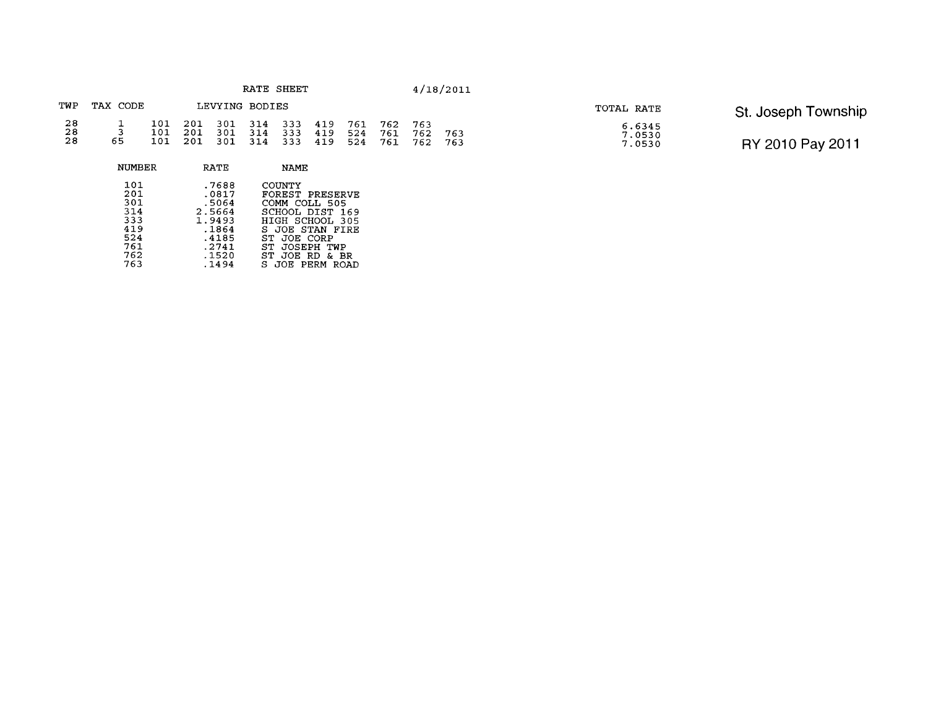| RATE | SHEET |  |
|------|-------|--|
|------|-------|--|

|                | TWP TAX CODE       |  | LEVYING BODIES                                                                                                        |  |  |  |     |
|----------------|--------------------|--|-----------------------------------------------------------------------------------------------------------------------|--|--|--|-----|
| 28<br>28<br>28 | $\mathbf{R}$<br>б. |  | 101 201 301 314 333 419 761 762 763<br>101 201 301 314 333 419 524 761 762<br>101 201 301 314 333 419 524 761 762 763 |  |  |  | 763 |

TOTAL RATE St. Joseph Township<br>  $\begin{array}{r} 6.6345 \\ 7.0530 \\ 7.0530 \end{array}$  RY 2010 Pay 2011 RY 2010 Pay 2011

| <b>NUMBER</b>     | RATE                    | <b>NAME</b>                                |
|-------------------|-------------------------|--------------------------------------------|
| 101<br>201<br>301 | .7688<br>.0817<br>.5064 | COUNTY<br>FOREST PRESERVE<br>COMM COLL 505 |
| 314               | 2.5664                  | SCHOOL DIST 169                            |
| 333<br>419        | 1.9493                  | HIGH SCHOOL 305                            |
| 524               | .1864<br>.4185          | S JOE STAN FIRE<br>ST JOE CORP             |
| 761               | .2741                   | ST.<br>JOSEPH TWP                          |
| 762               | .1520                   | JOE RD<br>ST.<br>& BR                      |
| 763               | . 1494                  | S JOE PERM ROAD                            |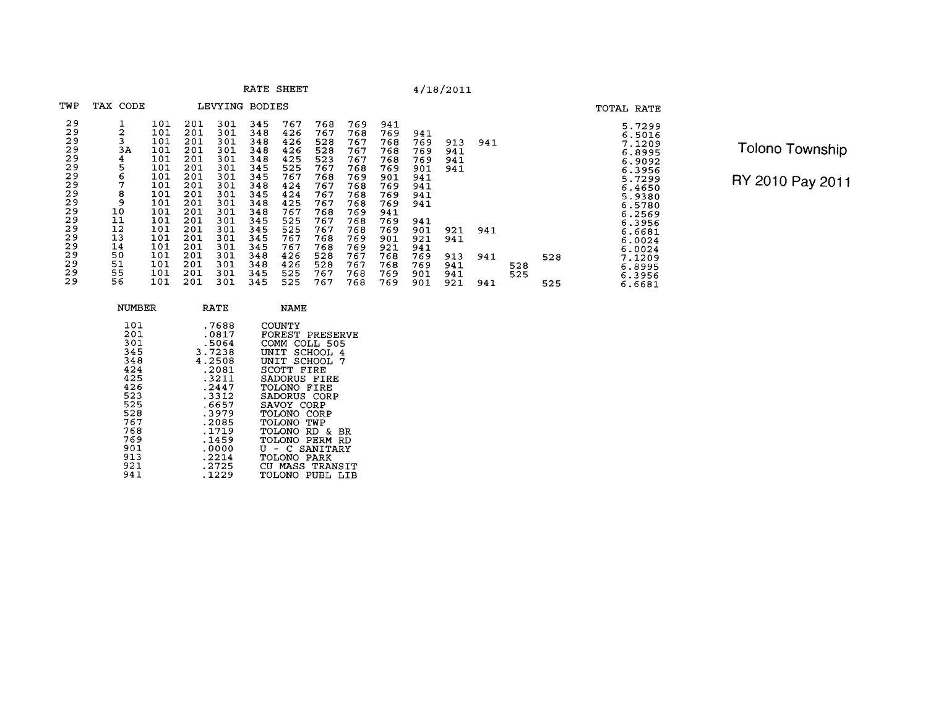| TWP                                                                                                | TAX CODE                                                                             |                                                                                                                     |                                                                                                                     | LEVYING BODIES                                                                                                      |                                                                                                                     |                                                                                                                     |                                                                                                                     |                                                                                                                     |                                                                                                                     |                                                                                                       |                                                      |                   |            |     | TOTAL RATE                                                                                                                                                   |
|----------------------------------------------------------------------------------------------------|--------------------------------------------------------------------------------------|---------------------------------------------------------------------------------------------------------------------|---------------------------------------------------------------------------------------------------------------------|---------------------------------------------------------------------------------------------------------------------|---------------------------------------------------------------------------------------------------------------------|---------------------------------------------------------------------------------------------------------------------|---------------------------------------------------------------------------------------------------------------------|---------------------------------------------------------------------------------------------------------------------|---------------------------------------------------------------------------------------------------------------------|-------------------------------------------------------------------------------------------------------|------------------------------------------------------|-------------------|------------|-----|--------------------------------------------------------------------------------------------------------------------------------------------------------------|
| 29<br>29<br>29<br>29<br>29<br>29<br>29<br>29<br>29<br>29<br>29<br>29<br>29<br>29<br>29<br>29<br>29 | 2<br>3<br>3A<br>4<br>5<br>6<br>7<br>8<br>9<br>10<br>11<br>12<br>13<br>14<br>50<br>51 | 101<br>101<br>101<br>101<br>101<br>101<br>101<br>101<br>101<br>101<br>101<br>101<br>101<br>101<br>101<br>101<br>101 | 201<br>201<br>201<br>201<br>201<br>201<br>201<br>201<br>201<br>201<br>201<br>201<br>201<br>201<br>201<br>201<br>201 | 301<br>301<br>301<br>301<br>301<br>301<br>301<br>301<br>301<br>301<br>301<br>301<br>301<br>301<br>301<br>301<br>301 | 345<br>348<br>348<br>348<br>348<br>345<br>345<br>348<br>345<br>348<br>348<br>345<br>345<br>345<br>345<br>348<br>348 | 767<br>426<br>426<br>426<br>425<br>525<br>767<br>424<br>424<br>425<br>767<br>525<br>525<br>767<br>767<br>426<br>426 | 768<br>767<br>528<br>528<br>523<br>767<br>768<br>767<br>767<br>767<br>768<br>767<br>767<br>768<br>768<br>528<br>528 | 769<br>768<br>767<br>767<br>767<br>768<br>769<br>768<br>768<br>768<br>769<br>768<br>768<br>769<br>769<br>767<br>767 | 941<br>769<br>768<br>768<br>768<br>769<br>901<br>769<br>769<br>769<br>941<br>769<br>769<br>901<br>921<br>768<br>768 | 941<br>769<br>769<br>769<br>901<br>941<br>941<br>941<br>941<br>941<br>901<br>921<br>941<br>769<br>769 | 913<br>941<br>941<br>941<br>921<br>941<br>913<br>941 | 941<br>941<br>941 |            | 528 | 5.7299<br>6.5016<br>7.1209<br>6.8995<br>6.9092<br>6.3956<br>5.7299<br>6.4650<br>5.9380<br>6.5780<br>6.2569<br>6.3956<br>6.6681<br>6.0024<br>6.0024<br>7.1209 |
| 29<br>29                                                                                           | 55<br>56                                                                             | 101<br>101                                                                                                          | 201<br>201                                                                                                          | 301<br>301                                                                                                          | 345<br>345                                                                                                          | 525<br>525                                                                                                          | 767<br>767                                                                                                          | 768<br>768                                                                                                          | 769<br>769                                                                                                          | 901<br>901                                                                                            | 941<br>921                                           | 941               | 528<br>525 | 525 | 6.8995<br>6.3956<br>6.6681                                                                                                                                   |

RATE SHEET

Tolono Township

| NUMBER                                                                                                                     | RATE                                                                                                                                                               | NAME                                                                                                                                                                                                                                                                                      |
|----------------------------------------------------------------------------------------------------------------------------|--------------------------------------------------------------------------------------------------------------------------------------------------------------------|-------------------------------------------------------------------------------------------------------------------------------------------------------------------------------------------------------------------------------------------------------------------------------------------|
| 101<br>201<br>301<br>345<br>348<br>424<br>425<br>426<br>523<br>525<br>528<br>767<br>768<br>769<br>901<br>913<br>921<br>941 | .7688<br>.0817<br>.5064<br>3.7238<br>4.2508<br>.2081<br>$-3211$<br>.2447<br>.3312<br>.6657<br>.3979<br>.2085<br>.1719<br>.1459<br>.0000<br>.2214<br>.2725<br>.1229 | COUNTY<br>FOREST PRESERVE<br>COMM<br>COLL 505<br>UNIT<br>SCHOOL.<br>4<br>UNIT SCHOOL 7<br>SCOTT FIRE<br>SADORUS FIRE<br>TOLONO FIRE<br>SADORUS CORP<br>SAVOY CORP<br>TOLONO CORP<br>TOLONO TWP<br>TOLONO RD &<br>BR<br>TOLONO PERM RD<br>U - C SANITARY<br>TOLONO PARK<br>CU MASS TRANSIT |
|                                                                                                                            |                                                                                                                                                                    | PUBL<br><b>OMO.IOT</b><br>T.TR                                                                                                                                                                                                                                                            |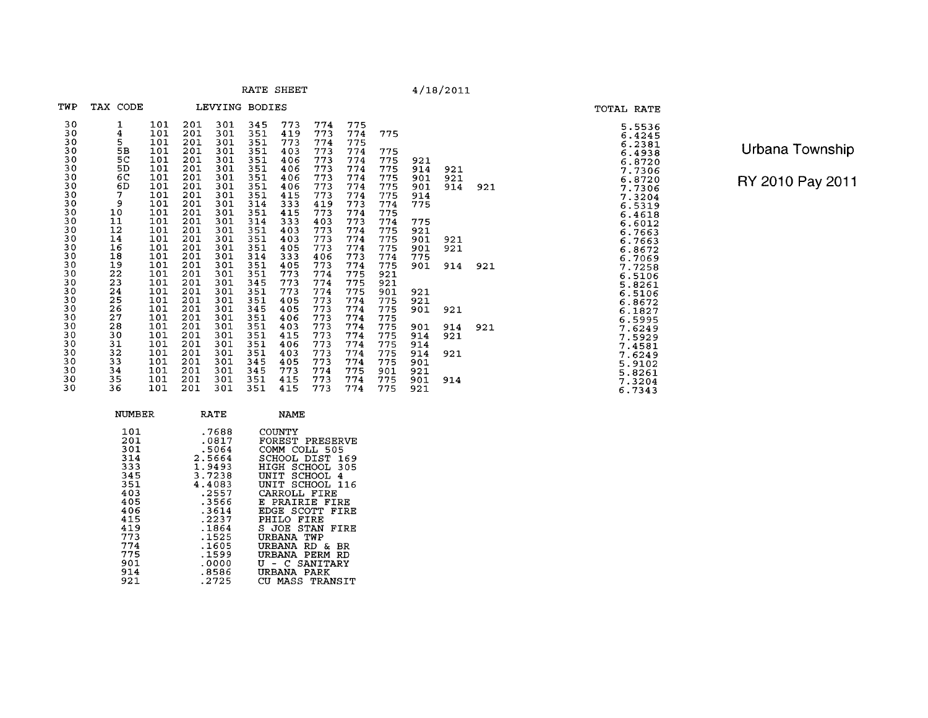**RATE SHEET** 

 $4/18/2011$ 

| TWP      | TAX CODE |            |            | LEVYING    | <b>BODIES</b> |            |            |            |            |            |            |     |
|----------|----------|------------|------------|------------|---------------|------------|------------|------------|------------|------------|------------|-----|
| 30       | 1        | 101        | 201        | 301        | 345           | 773        | 774        | 775        |            |            |            |     |
| 30<br>30 | 4<br>5   | 101<br>101 | 201<br>201 | 301<br>301 | 351<br>351    | 419<br>773 | 773<br>774 | 774<br>775 | 775        |            |            |     |
| 30       | 5B       | 101        | 201        | 301        | 351           | 403        | 773        | 774        | 775        |            |            |     |
| 30       | 5C       | 101        | 201        | 301        | 351           | 406        | 773        | 774        | 775        | 921        |            |     |
| 30<br>30 | 5D<br>6C | 101<br>101 | 201<br>201 | 301<br>301 | 351<br>351    | 406<br>406 | 773<br>773 | 774<br>774 | 775<br>775 | 914<br>901 | 921<br>921 |     |
| 30       | 6D       | 101        | 201        | 301        | 351           | 406        | 773        | 774        | 775        | 901        | 914        | 921 |
| 30       | 7        | 101        | 201        | 301        | 351           | 415        | 773        | 774        | 775        | 914        |            |     |
| 30<br>30 | 9<br>10  | 101<br>101 | 201<br>201 | 301<br>301 | 314<br>351    | 333<br>415 | 419<br>773 | 773<br>774 | 774<br>775 | 775        |            |     |
| 30       | 11       | 101        | 201        | 301        | 314           | 333        | 403        | 773        | 774        | 775        |            |     |
| 30<br>30 | 12<br>14 | 101<br>101 | 201<br>201 | 301<br>301 | 351<br>351    | 403<br>403 | 773<br>773 | 774<br>774 | 775<br>775 | 921        |            |     |
| 30       | 16       | 101        | 201        | 301        | 351           | 405        | 773        | 774        | 775        | 901<br>901 | 921<br>921 |     |
| 30       | 18       | 101        | 201        | 301        | 314           | 333        | 406        | 773        | 774        | 775        |            |     |
| 30<br>30 | 19<br>22 | 101<br>101 | 201<br>201 | 301<br>301 | 351<br>351    | 405<br>773 | 773<br>774 | 774<br>775 | 775<br>921 | 901        | 914        | 921 |
| 30       | 23       | 101        | 201        | 301        | 345           | 773        | 774        | 775        | 921        |            |            |     |
| 30       | 24       | 101        | 201        | 301        | 351           | 773        | 774        | 775        | 901        | 921        |            |     |
| 30<br>30 | 25<br>26 | 101<br>101 | 201<br>201 | 301<br>301 | 351<br>345    | 405<br>405 | 773<br>773 | 774<br>774 | 775<br>775 | 921<br>901 | 921        |     |
| 30       | 27       | 101        | 201        | 301        | 351           | 406        | 773        | 774        | 775        |            |            |     |
| 30<br>30 | 28<br>30 | 101<br>101 | 201<br>201 | 301<br>301 | 351<br>351    | 403        | 773<br>773 | 774        | 775        | 901        | 914        | 921 |
| 30       | 31       | 101        | 201        | 301        | 351           | 415<br>406 | 773        | 774<br>774 | 775<br>775 | 914<br>914 | 921        |     |
| 30       | 32       | 101        | 201        | 301        | 351           | 403        | 773        | 774        | 775        | 914        | 921        |     |
| 30<br>30 | 33<br>34 | 101<br>101 | 201<br>201 | 301<br>301 | 345           | 405<br>773 | 773<br>774 | 774<br>775 | 775<br>901 | 901        |            |     |
| 30       | 35       | 101        | 201        | 301        | 345<br>351    | 415        | 773        | 774        | 775        | 921<br>901 | 914        |     |
| 30       | 36       | 101        | 201        | 301        | 351           | 415        | 773        | 774        | 775        | 921        |            |     |

| $\begin{smallmatrix}5.5536\\ 6.42451\\ 6.2381\\ 6.3938\\ 7.7306\\ 87200\\ 7.3204\\ 9.1930\\ 1.3204\\ 1.661263\\ 6.7663706\\ 6.77258\\ 6.81061\\ 7.72581\\ 6.81061\\ 7.5106\\ 6.510622\\ 9.9291\\ 2.6241\\ 9.1021\\ 1.3204\\ 9.1021\\ 7.3204\\ 9.1021\\ 7.3204\\ 9.1$ |  |
|----------------------------------------------------------------------------------------------------------------------------------------------------------------------------------------------------------------------------------------------------------------------|--|
|                                                                                                                                                                                                                                                                      |  |
|                                                                                                                                                                                                                                                                      |  |
|                                                                                                                                                                                                                                                                      |  |
|                                                                                                                                                                                                                                                                      |  |
|                                                                                                                                                                                                                                                                      |  |
|                                                                                                                                                                                                                                                                      |  |
|                                                                                                                                                                                                                                                                      |  |
|                                                                                                                                                                                                                                                                      |  |
|                                                                                                                                                                                                                                                                      |  |
|                                                                                                                                                                                                                                                                      |  |
|                                                                                                                                                                                                                                                                      |  |
|                                                                                                                                                                                                                                                                      |  |
|                                                                                                                                                                                                                                                                      |  |
|                                                                                                                                                                                                                                                                      |  |
|                                                                                                                                                                                                                                                                      |  |
|                                                                                                                                                                                                                                                                      |  |

**TOTAL RATE** 

Urbana Township

| 101<br>.7688<br>COUNTY<br>201<br>.0817<br>FOREST PRESERVE<br>301<br>.5064<br>COMM COLL 505<br>314<br>2.5664<br>SCHOOL DIST<br>169<br>333<br>1.9493<br>HIGH SCHOOL 305<br>345<br>3.7238<br>SCHOOL<br>4<br>UNTT<br>351<br>4.4083<br>SCHOOL 116<br>tint t<br>403<br>.2557<br>CARROLL FIRE<br>405<br>.3566<br>F.<br>PRAIRIE<br>FIRE<br>406<br>.3614<br>EDGE SCOTT<br>FIRE<br>415<br>.2237<br>FTRE<br>PHTLO.<br>419<br>.1864<br>STAN<br>FIRE<br>S JOE<br>773<br>.1525<br>URBANA TWP<br>774<br>.1605<br>URBANA<br>RD.<br>BR<br>s.<br>775<br>.1599<br>PERM<br>URBANA<br>RD<br>901<br>.0000<br>- C SANITARY<br>U<br>914<br>.8586<br>URBANA<br>PARK | NUMBER | RATE | NAME |
|--------------------------------------------------------------------------------------------------------------------------------------------------------------------------------------------------------------------------------------------------------------------------------------------------------------------------------------------------------------------------------------------------------------------------------------------------------------------------------------------------------------------------------------------------------------------------------------------------------------------------------------------|--------|------|------|
| .2725<br>MASS TRANSIT<br>CU.                                                                                                                                                                                                                                                                                                                                                                                                                                                                                                                                                                                                               | 921    |      |      |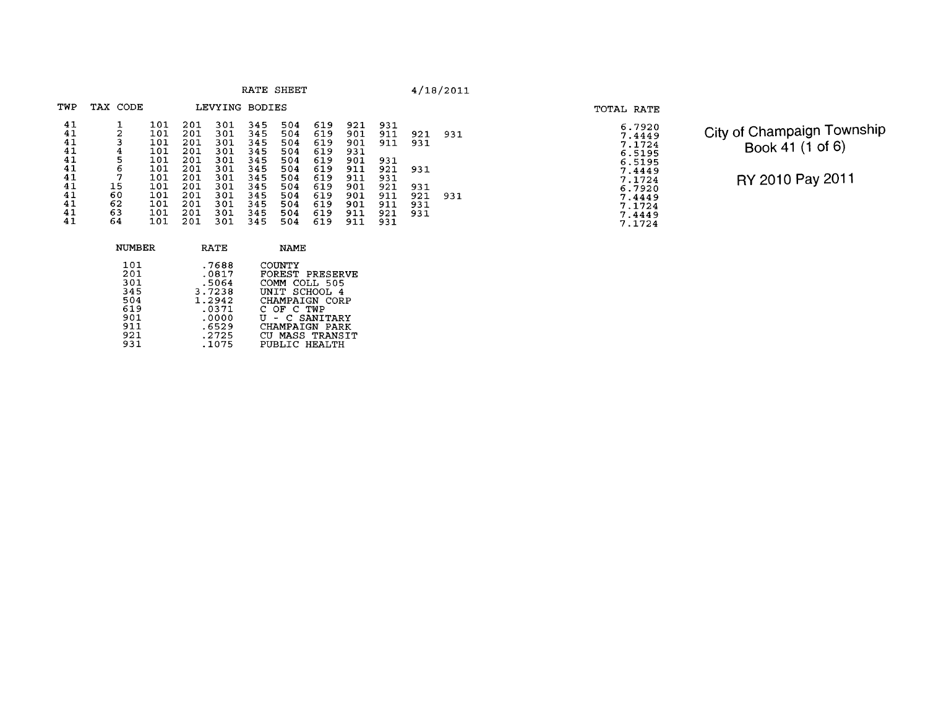| TWP                                          | TAX CODE                                       |                                                      |                                                             | LEVYING BODIES                                              |                                                             |                                                             |                                                             |                                                             |                                                      |                                 |     |
|----------------------------------------------|------------------------------------------------|------------------------------------------------------|-------------------------------------------------------------|-------------------------------------------------------------|-------------------------------------------------------------|-------------------------------------------------------------|-------------------------------------------------------------|-------------------------------------------------------------|------------------------------------------------------|---------------------------------|-----|
| 41<br>41<br>41<br>41                         | 2<br>3                                         | 101<br>101<br>101<br>101                             | 201<br>201<br>201                                           | 301<br>301<br>301                                           | 345<br>345<br>345                                           | 504<br>504<br>504                                           | 619<br>619<br>619                                           | 921<br>901<br>901                                           | 931<br>911<br>911                                    | 921<br>931                      | 931 |
| 41<br>41<br>41<br>41<br>41<br>41<br>41<br>41 | 4<br>5<br>6<br>7<br>15<br>60<br>62<br>63<br>64 | 101<br>101<br>101<br>101<br>101<br>101<br>101<br>101 | 201<br>201<br>201<br>201<br>201<br>201<br>201<br>201<br>201 | 301<br>301<br>301<br>301<br>301<br>301<br>301<br>301<br>301 | 345<br>345<br>345<br>345<br>345<br>345<br>345<br>345<br>345 | 504<br>504<br>504<br>504<br>504<br>504<br>504<br>504<br>504 | 619<br>619<br>619<br>619<br>619<br>619<br>619<br>619<br>619 | 931<br>901<br>911<br>911<br>901<br>901<br>901<br>911<br>911 | 931<br>921<br>931<br>921<br>911<br>911<br>921<br>931 | 931<br>931<br>921<br>931<br>931 | 931 |

| 6.7920 |
|--------|
| 7.4449 |
| 7.1724 |
| 6.5195 |
|        |
| 6.5195 |
| 7.4449 |
| 7.1724 |
|        |
| 6.7920 |
| 7.4449 |
| 7.1724 |
| 7.4449 |
|        |
| 7.1724 |

**TOTAL RATE** 

City of Champaign Township Book 41 (1 of 6)

| NUMBER                                                             | <b>RATE</b>                                                                              | NAME                                                                                                                                                                |
|--------------------------------------------------------------------|------------------------------------------------------------------------------------------|---------------------------------------------------------------------------------------------------------------------------------------------------------------------|
| 101<br>201<br>301<br>345<br>504<br>619<br>901<br>911<br>921<br>931 | .7688<br>.0817<br>.5064<br>3.7238<br>1.2942<br>.0371<br>.0000<br>.6529<br>.2725<br>.1075 | COUNTY<br>FOREST PRESERVE<br>COMM COLL 505<br>UNIT SCHOOL 4<br>CHAMPAIGN CORP<br>C OF C TWP<br>U - C SANITARY<br>CHAMPAIGN PARK<br>CU MASS TRANSIT<br>PUBLIC HEALTH |
|                                                                    |                                                                                          |                                                                                                                                                                     |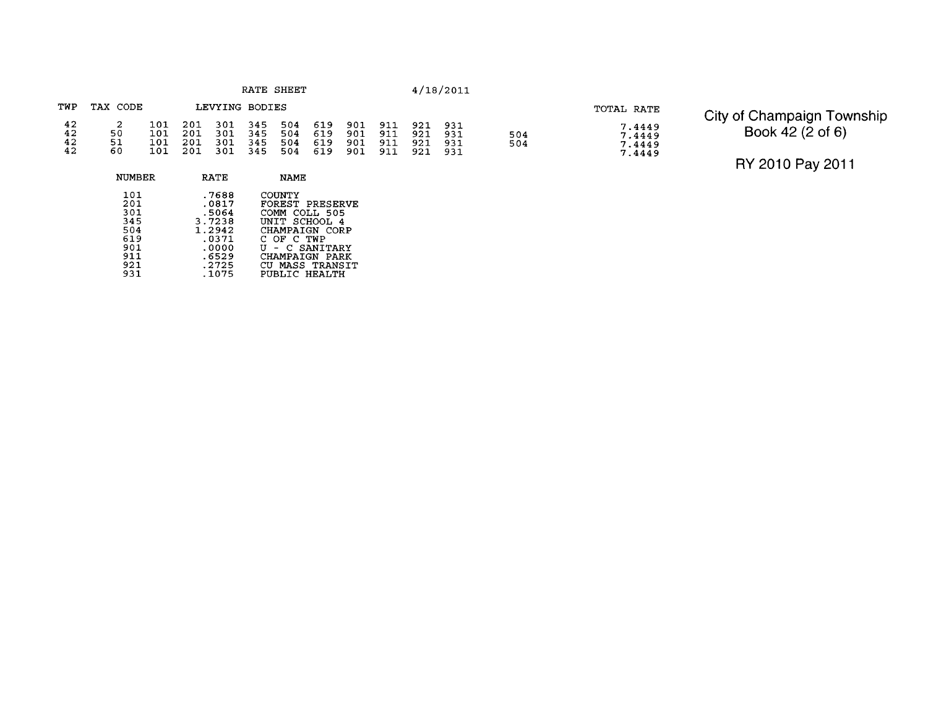| TWP                  | TAX CODE              |                   |                       | LEVYING BODIES                                               |     |                               |                               |                              |                    |            |
|----------------------|-----------------------|-------------------|-----------------------|--------------------------------------------------------------|-----|-------------------------------|-------------------------------|------------------------------|--------------------|------------|
| 42<br>42<br>42<br>42 | -2.<br>50<br>51<br>60 | 101<br>101<br>101 | - 201<br>- 201<br>201 | 101 201 301 345 504 619 901 911<br>301 345<br>301 345<br>301 | 345 | 504 619<br>504 619<br>504 619 | 901 911<br>901 911<br>901 911 | 921 931<br>921<br>921<br>921 | -931<br>931<br>931 | 504<br>504 |

| םנמש עמיטג |                                      |
|------------|--------------------------------------|
|            | 7.4449<br>7.4449<br>7.4449<br>7.4449 |
|            |                                      |

## TOTAL RATE City of Champaign Township Book 42 (2 of 6)

| NUMBER                                                             | RATE                                                                                     | <b>NAME</b>                                                                                                                                                            |
|--------------------------------------------------------------------|------------------------------------------------------------------------------------------|------------------------------------------------------------------------------------------------------------------------------------------------------------------------|
| 101<br>201<br>301<br>345<br>504<br>619<br>901<br>911<br>921<br>931 | .7688<br>.0817<br>.5064<br>3.7238<br>1.2942<br>.0371<br>.0000<br>.6529<br>.2725<br>.1075 | COUNTY<br>FOREST PRESERVE<br>COMM<br>COLL 505<br>UNIT SCHOOL 4<br>CHAMPAIGN CORP<br>C OF C TWP<br>U - C SANTTARY<br>CHAMPAIGN PARK<br>CU MASS TRANSIT<br>PUBLIC HEALTH |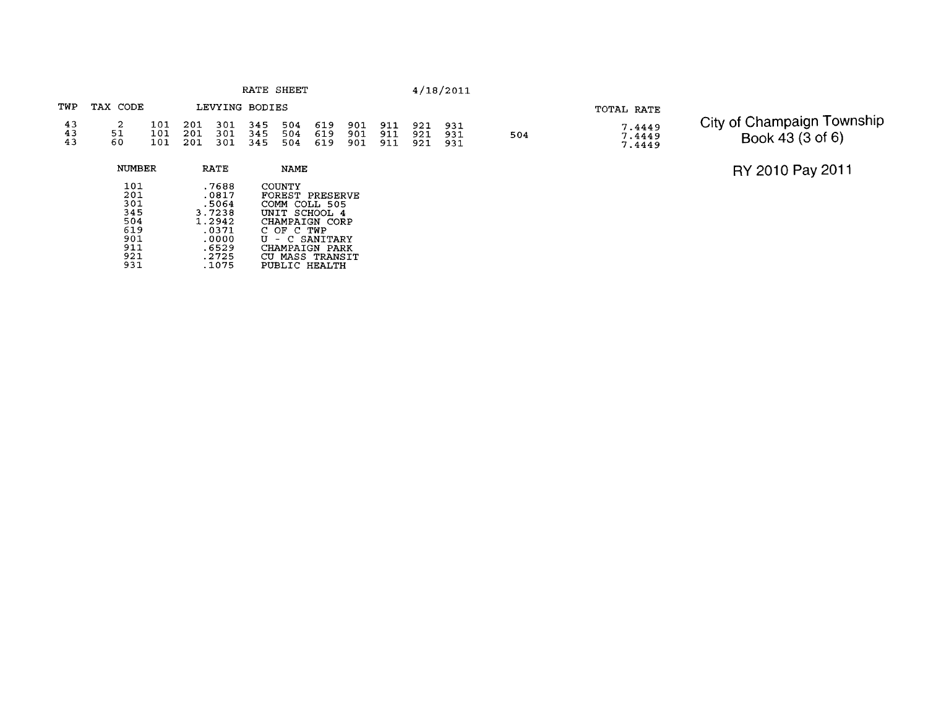| RATE | SHEET |
|------|-------|
|------|-------|

### **TWP TAX CODE LEVYING BODIES**   $\frac{43}{43}$  $\begin{smallmatrix}2\51\60\end{smallmatrix}$  $\begin{array}{cccc} 101 & 201 & 301 & 345 & 504 \\ 101 & 201 & 301 & 345 & 504 \\ 101 & 201 & 301 & 345 & 504 \end{array}$  $\begin{array}{c} 619 \\ 619 \\ 619 \end{array}$ 901 911 921<br>901 911 921<br>901 911 921 931<br>931<br>931

| NUMBER | <b>RATE</b> | NAME                 |
|--------|-------------|----------------------|
| 101    | .7688       | <b>COUNTY</b>        |
| 201    | .0817       | FOREST PRESERVE      |
| 301    | .5064       | COMM<br>COLL 505     |
| 345    | 3.7238      | SCHOOL 4<br>UNIT     |
| 504    | 1.2942      | CHAMPAIGN CORP       |
| 619    | .0371       | C OF C TWP           |
| 901    | .0000       | - C SANITARY<br>TT   |
| 911    | .6529       | CHAMPAIGN PARK       |
| 921    | .2725       | MASS TRANSIT         |
| 931    | .1075       | <b>PUBLIC HEALTH</b> |

## **TOTAL RATE**

504

**7.4449** 

# **7 -4449** City of Champaign Township **7.4449** Book 43 (3 of 6)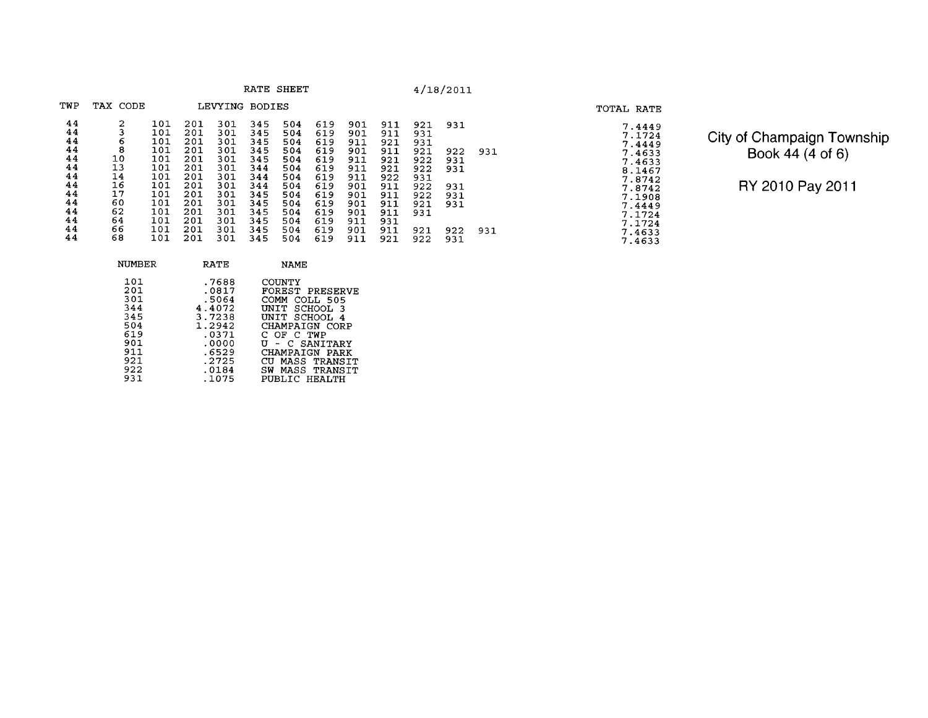|  |  | RATE | SHEET |  |
|--|--|------|-------|--|
|--|--|------|-------|--|

| TWP | TAX CODE |     |     | LEVYING | <b>BODIES</b> |     |     |     |     |     |     |     |
|-----|----------|-----|-----|---------|---------------|-----|-----|-----|-----|-----|-----|-----|
| 44  | 2        | 101 | 201 | 301     | 345           | 504 | 619 | 901 | 911 | 921 | 931 |     |
| 44  | 3        | 101 | 201 | 301     | 345           | 504 | 619 | 901 | 911 | 931 |     |     |
| 44  | 6        | 101 | 201 | 301     | 345           | 504 | 619 | 911 | 921 | 931 |     |     |
| 44  | 8        | 101 | 201 | 301     | 345           | 504 | 619 | 901 | 911 | 921 | 922 | 931 |
| 44  | 10       | 101 | 201 | 301     | 345           | 504 | 619 | 911 | 921 | 922 | 931 |     |
| 44  | 13       | 101 | 201 | 301     | 344           | 504 | 619 | 911 | 921 | 922 | 931 |     |
| 44  | 14       | 101 | 201 | 301     | 344           | 504 | 619 | 911 | 922 | 931 |     |     |
| 44  | 16       | 101 | 201 | 301     | 344           | 504 | 619 | 901 | 911 | 922 | 931 |     |
| 44  | 17       | 101 | 201 | 301     | 345           | 504 | 619 | 901 | 911 | 922 | 931 |     |
| 44  | 60       | 101 | 201 | 301     | 345           | 504 | 619 | 901 | 911 | 921 | 931 |     |
| 44  | 62       | 101 | 201 | 301     | 345           | 504 | 619 | 901 | 911 | 931 |     |     |
| 44  | 64       | 101 | 201 | 301     | 345           | 504 | 619 | 911 | 931 |     |     |     |
| 44  | 66       | 101 | 201 | 301     | 345           | 504 | 619 | 901 | 911 | 921 | 922 | 931 |
| 44  | 68       | 101 | 201 | 301     | 345           | 504 | 619 | 911 | 921 | 922 | 931 |     |
|     |          |     |     |         |               |     |     |     |     |     |     |     |

TOTAL RATE<br>
7.4449<br>
7.1724<br>
7.44633<br>
7.4653<br>
7.4653<br>
8.1467<br>
7.8742<br>
7.7.4449<br>
7.1724<br>
7.1724<br>
7.1724<br>
7.4633<br>
7.4633

City of Champaign Township Book 44 (4 of 6)

| NUMBER | RATE   | <b>NAME</b>         |
|--------|--------|---------------------|
| 101    | .7688  | COUNTY              |
| 201    | .0817  | FOREST PRESERVE     |
| 301    | .5064  | COMM COLL 505       |
| 344    | 4.4072 | UNIT SCHOOL 3       |
| 345    | 3.7238 | UNIT SCHOOL 4       |
| 504    | 1.2942 | CHAMPAIGN CORP      |
| 619    | .0371  | C OF C TWP          |
| 901    | .0000  | U - C SANITARY      |
| 911    | .6529  | CHAMPAIGN PARK      |
| 921    | .2725  | CUL<br>MASS TRANSIT |
| 922    | .0184  | SW MASS TRANSTT     |
| 931    | .1075  | PUBLIC HEALTH       |
|        |        |                     |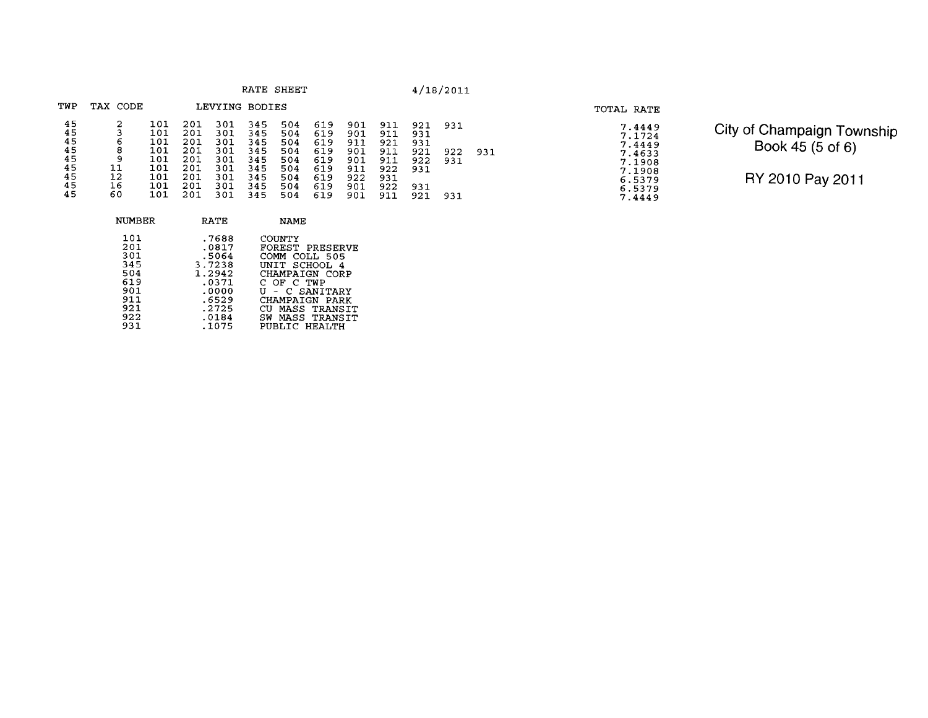| RATE | <b>SHEET</b> |  |
|------|--------------|--|
|------|--------------|--|

| TWP            | TAX CODE     |                   |                   | LEVYING BODIES    |                   |                   |                   |                   |                   |                   |     |     |
|----------------|--------------|-------------------|-------------------|-------------------|-------------------|-------------------|-------------------|-------------------|-------------------|-------------------|-----|-----|
| 45<br>45<br>45 | 2<br>3<br>-6 | 101<br>101<br>101 | 201<br>201<br>201 | 301<br>301<br>301 | 345<br>345<br>345 | 504<br>504<br>504 | 619<br>619<br>619 | 901<br>901<br>911 | 911<br>911<br>921 | 921<br>931<br>931 | 931 |     |
| 45             | 8            | 101               | 201               | 301               | 345               | 504               | 619               | 901               | 911               | 921               | 922 | 931 |
| 45             | 9            | 101               | 201               | 301               | 345               | 504               | 619               | 901               | 911               | 922               | 931 |     |
| 45             | 11           | 101               | 201               | 301               | 345               | 504               | 619               | 911               | 922               | 931               |     |     |
| 45             | 12           | 101               | 201               | 301               | 345               | 504               | 619               | 922               | 931               |                   |     |     |
| 45             | 16           | 101               | 201               | 301               | 345               | 504               | 619               | 901               | 922               | 931               |     |     |
| 45             | 60           | 101               | 201               | 301               | 345               | 504               | 619               | 901               | 911               | 921               | 931 |     |

| TOTAL RATE |                                                                                        |
|------------|----------------------------------------------------------------------------------------|
|            | 7.4449<br>7.1724<br>7.4449<br>7.4633<br>7.1908<br>7.1908<br>6.5379<br>6.5379<br>7.4449 |

City of Champaign Township Book 45 (5 of 6)

| NUMBER                                                                    | RATE                                                                                              | <b>NAME</b>                                                                                                                                                                            |
|---------------------------------------------------------------------------|---------------------------------------------------------------------------------------------------|----------------------------------------------------------------------------------------------------------------------------------------------------------------------------------------|
| 101<br>201<br>301<br>345<br>504<br>619<br>901<br>911<br>921<br>922<br>931 | .7688<br>.0817<br>.5064<br>3.7238<br>1.2942<br>.0371<br>.0000<br>.6529<br>.2725<br>.0184<br>.1075 | COUNTY<br>FOREST PRESERVE<br>COMM COLL 505<br>UNIT SCHOOL 4<br>CHAMPAIGN CORP<br>C OF C TWP<br>U - C SANITARY<br>CHAMPAIGN PARK<br>CU MASS TRANSIT<br>SW MASS TRANSIT<br>PUBLIC HEALTH |
|                                                                           |                                                                                                   |                                                                                                                                                                                        |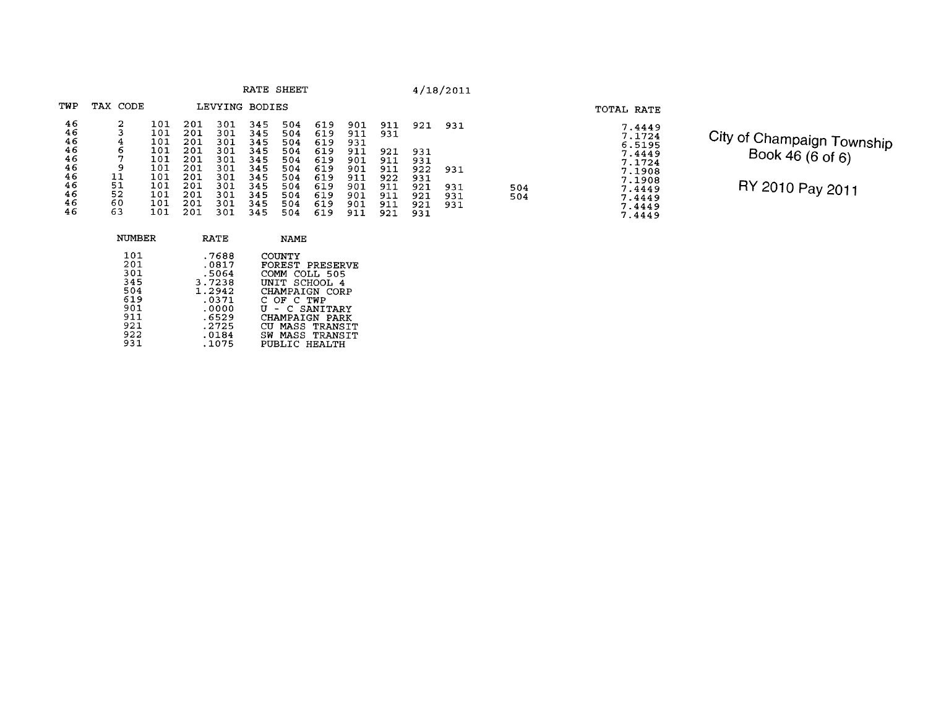| RATE | <b>SHEET</b> |
|------|--------------|
|------|--------------|

 $\frac{504}{504}$ 

| TWP      | TAX<br>CODE |            |            | LEVYING    | <b>BODIES</b> |            |            |            |            |     |     |  |
|----------|-------------|------------|------------|------------|---------------|------------|------------|------------|------------|-----|-----|--|
| 46<br>46 | 2<br>3      | 101<br>101 | 201<br>201 | 301<br>301 | 345<br>345    | 504<br>504 | 619<br>619 | 901<br>911 | 911<br>931 | 921 | 931 |  |
| 46       | 4           | 101        | 201        | 301        | 345           | 504        | 619        | 931        |            |     |     |  |
| 46       | 6           | 101        | 201        | 301        | 345           | 504        | 619        | 911        | 921        | 931 |     |  |
| 46       | 7           | 101        | 201        | 301        | 345           | 504        | 619        | 901        | 911        | 931 |     |  |
| 46       | 9           | 101        | 201        | 301        | 345           | 504        | 619        | 901        | 911        | 922 | 931 |  |
| 46       | 11          | 101        | 201        | 301        | 345           | 504        | 619        | 911        | 922        | 931 |     |  |
| 46       | 51          | 101        | 201        | 301        | 345           | 504        | 619        | 901        | 911        | 921 | 931 |  |
| 46       | 52          | 101        | 201        | 301        | 345           | 504        | 619        | 901        | 911        | 921 | 931 |  |
| 46       | 60          | 101        | 201        | 301        | 345           | 504        | 619        | 901        | 911        | 921 | 931 |  |
| 46       | 63          | 101        | 201        | 301        | 345           | 504        | 619        | 911        | 921        | 931 |     |  |

|     | RATE   | <b>NAME</b>     |
|-----|--------|-----------------|
| 101 | .7688  | COUNTY          |
| 201 | .0817  | FOREST PRESERVE |
| 301 | .5064  | COMM COLL 505   |
| 345 | 3.7238 | UNIT SCHOOL 4   |
| 504 | 1.2942 | CHAMPAIGN CORP  |
| 619 | .0371  | C OF C TWP      |
| 901 | .0000  | U - C SANITARY  |
| 911 | .6529  | CHAMPAIGN PARK  |
| 921 | .2725  | CU MASS TRANSIT |
| 922 | .0184  | SW MASS TRANSIT |
| 931 | .1075  | PUBLIC HEALTH   |

# **TOTAL RATE**  7.4449<br>7.1724<br>6.5195<br>6.5195<br>7.4449<br>7.1908<br>7.1908<br>7.4449<br>7.44449<br>7.44449

City of Champaign Township  $Book 46 (6 of 6)$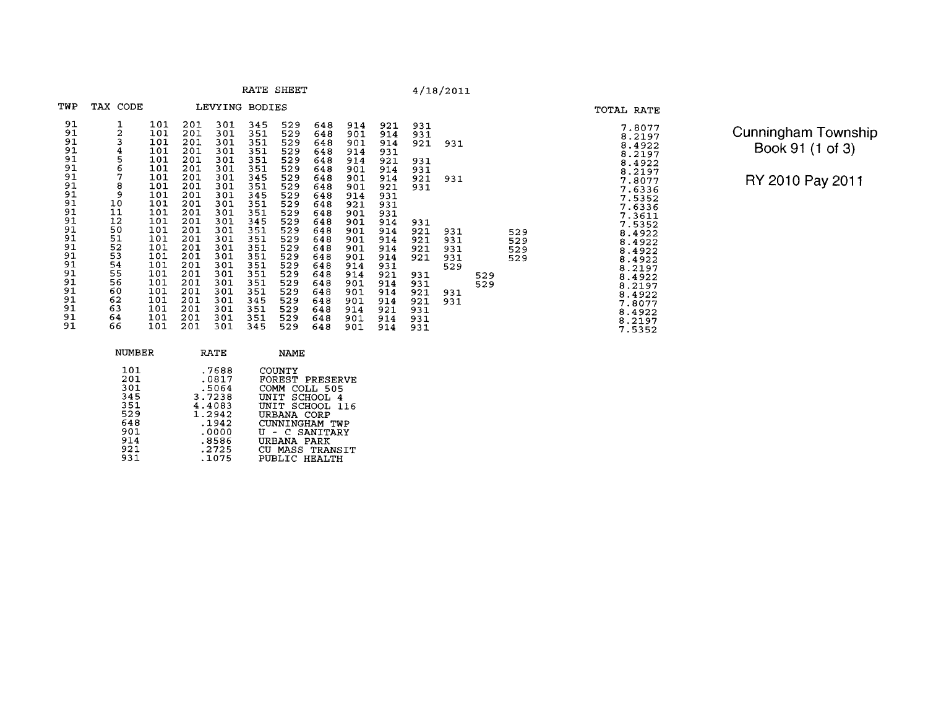|                                                                                                                            |                                                                                                                              |                                                                                                                                                 |                                                                                                                                                 |                                                                                                                                                 |                                                                                                                                                 | RATE SHEET                                                                                                                                      |                                                                                                                                                 |                                                                                                                                                 |                                                                                                                                                 |                                                                                                              | 4/18/2011                                                   |            |                          |                                                                                                                                                                                                                |
|----------------------------------------------------------------------------------------------------------------------------|------------------------------------------------------------------------------------------------------------------------------|-------------------------------------------------------------------------------------------------------------------------------------------------|-------------------------------------------------------------------------------------------------------------------------------------------------|-------------------------------------------------------------------------------------------------------------------------------------------------|-------------------------------------------------------------------------------------------------------------------------------------------------|-------------------------------------------------------------------------------------------------------------------------------------------------|-------------------------------------------------------------------------------------------------------------------------------------------------|-------------------------------------------------------------------------------------------------------------------------------------------------|-------------------------------------------------------------------------------------------------------------------------------------------------|--------------------------------------------------------------------------------------------------------------|-------------------------------------------------------------|------------|--------------------------|----------------------------------------------------------------------------------------------------------------------------------------------------------------------------------------------------------------|
| TWP                                                                                                                        | TAX CODE                                                                                                                     |                                                                                                                                                 |                                                                                                                                                 | LEVYING                                                                                                                                         | BODIES                                                                                                                                          |                                                                                                                                                 |                                                                                                                                                 |                                                                                                                                                 |                                                                                                                                                 |                                                                                                              |                                                             |            |                          | TOTAL RATE                                                                                                                                                                                                     |
| 91<br>91<br>91<br>91<br>91<br>91<br>91<br>91<br>91<br>91<br>91<br>91<br>91<br>91<br>91<br>91<br>91<br>91<br>91<br>91<br>91 | $\frac{2}{3}$<br>$\frac{4}{5}$<br>7<br>$\frac{8}{9}$<br>10<br>11<br>12<br>50<br>51<br>52<br>53<br>54<br>55<br>56<br>60<br>62 | 101<br>101<br>101<br>101<br>101<br>101<br>101<br>101<br>101<br>101<br>101<br>101<br>101<br>101<br>101<br>101<br>101<br>101<br>101<br>101<br>101 | 201<br>201<br>201<br>201<br>201<br>201<br>201<br>201<br>201<br>201<br>201<br>201<br>201<br>201<br>201<br>201<br>201<br>201<br>201<br>201<br>201 | 301<br>301<br>301<br>301<br>301<br>301<br>301<br>301<br>301<br>301<br>301<br>301<br>301<br>301<br>301<br>301<br>301<br>301<br>301<br>301<br>301 | 345<br>351<br>351<br>351<br>351<br>351<br>345<br>351<br>345<br>351<br>351<br>345<br>351<br>351<br>351<br>351<br>351<br>351<br>351<br>351<br>345 | 529<br>529<br>529<br>529<br>529<br>529<br>529<br>529<br>529<br>529<br>529<br>529<br>529<br>529<br>529<br>529<br>529<br>529<br>529<br>529<br>529 | 648<br>648<br>648<br>648<br>648<br>648<br>648<br>648<br>648<br>648<br>648<br>648<br>648<br>648<br>648<br>648<br>648<br>648<br>648<br>648<br>648 | 914<br>901<br>901<br>914<br>914<br>901<br>901<br>901<br>914<br>921<br>901<br>901<br>901<br>901<br>901<br>901<br>914<br>914<br>901<br>901<br>901 | 921<br>914<br>914<br>931<br>921<br>914<br>914<br>921<br>931<br>931<br>931<br>914<br>914<br>914<br>914<br>914<br>931<br>921<br>914<br>914<br>914 | 931<br>931<br>921<br>931<br>931<br>921<br>931<br>931<br>921<br>921<br>921<br>921<br>931<br>931<br>921<br>921 | 931<br>931<br>931<br>931<br>931<br>931<br>529<br>931<br>931 | 529<br>529 | 529<br>529<br>529<br>529 | 7.8077<br>8.2197<br>8.4922<br>8.2197<br>8.4922<br>8.2197<br>7.8077<br>7.6336<br>7.5352<br>7.6336<br>7.3611<br>7.5352<br>8.4922<br>8.4922<br>8.4922<br>8.4922<br>8.2197<br>8.4922<br>8.2197<br>8.4922<br>7.8077 |
| 91<br>91<br>91                                                                                                             | 63<br>64<br>66                                                                                                               | 101<br>101<br>101                                                                                                                               | 201<br>201<br>201                                                                                                                               | 301<br>301<br>301                                                                                                                               | 351<br>351<br>345                                                                                                                               | 529<br>529<br>529                                                                                                                               | 648<br>648<br>648                                                                                                                               | 914<br>901<br>901                                                                                                                               | 921<br>914<br>914                                                                                                                               | 931<br>931<br>931                                                                                            |                                                             |            |                          | 8.4922<br>8.2197<br>7.5352                                                                                                                                                                                     |

| <b>Cunningham Township</b> |
|----------------------------|
| Book 91 (1 of 3)           |

RY 2010 Pay 2011

 $7.8077$ <br>  $8.21972$ <br>  $8.49227$ <br>  $8.21977$ <br>  $8.219776$ <br>  $8.219776$ <br>  $8.49222$ <br>  $8.49222$ <br>  $8.49222$ <br>  $8.49222$ <br>  $8.49222$ <br>  $8.49222$ <br>  $8.49222$ <br>  $8.49222$ <br>  $8.49222$ <br>  $8.49222$ <br>  $8.49222$ <br>  $8.49222$ <br>  $8.49222$ <br>  $8.49222$ <br>

 $8.4922$ <br> $8.2197$ <br> $7.5352$ 

| NUMBER                                                                    | RATE                                                                                               | NAMF.                                                                                                                                                                                            |
|---------------------------------------------------------------------------|----------------------------------------------------------------------------------------------------|--------------------------------------------------------------------------------------------------------------------------------------------------------------------------------------------------|
| 101<br>201<br>301<br>345<br>351<br>529<br>648<br>901<br>914<br>921<br>931 | .7688<br>.0817<br>.5064<br>3.7238<br>4.4083<br>1.2942<br>.1942<br>.0000<br>.8586<br>.2725<br>.1075 | <b>COUNTY</b><br>FOREST PRESERVE<br>COMM -<br>COLL 505<br>UNIT SCHOOL 4<br>UNIT SCHOOL 116<br>URBANA CORP<br>CUNNINGHAM TWP<br>U - C SANITARY<br>URBANA PARK<br>CU MASS TRANSIT<br>PUBLIC HEALTH |
|                                                                           |                                                                                                    |                                                                                                                                                                                                  |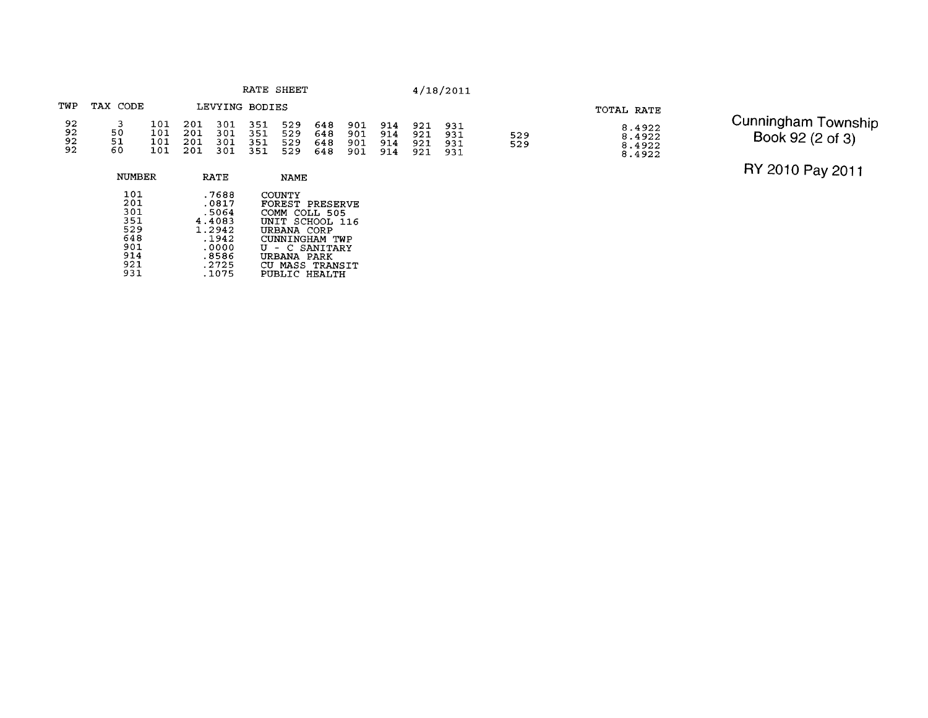### TWP TAX CODE LEVYING BODIES 92<br>92<br>92<br>92  $\frac{101}{101}$  $\begin{array}{c} 201 \\ 201 \end{array}$  $\overline{\mathbf{3}}$ 301<br>301<br>301<br>301  $351$ <br> $351$ 529<br>529  $648$ <br> $648$ 901<br>901  $\frac{914}{914}$ 921<br>921<br>921 931  $\frac{50}{51}$ 529<br>529  $931$  $101$  $\frac{201}{201}$  $\begin{array}{c} 351 \\ 351 \end{array}$ 529 648  $901$  $914$  $931$  $\overline{101}$ 529  $901$  $914$ 648 921  $931$

NUMBER RATE NAME 101 -7688 COUNTY 201 .0817 FOREST PRESERVE 301 .5064 COMM COLL 505 .0817 FOREST PRESER<br>4.4083 COMM COLL 505<br>4.4083 UNIT SCHOOL 1:<br>1.2942 URBANA CORP<br>.1942 CUNNINGHAM TWI<br>.0000 U - C SANITAR:<br>8586 URBANA PARK<br>.2725 CU MASS TRANS:<br>.1075 PUBLIC HEALTH 351 4.4083 UNITSCHOOL116 529 1.2942 URBANA CORP 648 .I942 CUNNINGHAM TWP -0000 U - C SANITARY  $914$ .8586 URBANA **PARK**  -2725 CU MASS TRANSIT 921 931

TOTAL RATE

 $8.4922$ <br> $8.4922$ <br> $8.4922$ <br> $8.4922$ 

Cunningham Township Book 92 (2 of 3)